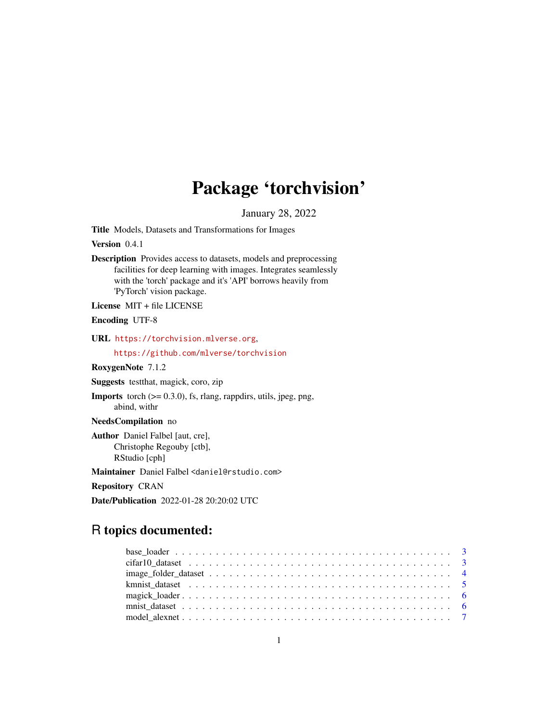# Package 'torchvision'

January 28, 2022

<span id="page-0-0"></span>Title Models, Datasets and Transformations for Images

Version 0.4.1

Description Provides access to datasets, models and preprocessing facilities for deep learning with images. Integrates seamlessly with the 'torch' package and it's 'API' borrows heavily from 'PyTorch' vision package.

License MIT + file LICENSE

Encoding UTF-8

URL <https://torchvision.mlverse.org>,

<https://github.com/mlverse/torchvision>

RoxygenNote 7.1.2

Suggests testthat, magick, coro, zip

**Imports** torch  $(>= 0.3.0)$ , fs, rlang, rappdirs, utils, jpeg, png, abind, withr

NeedsCompilation no

Author Daniel Falbel [aut, cre], Christophe Regouby [ctb], RStudio [cph]

Maintainer Daniel Falbel <daniel@rstudio.com>

Repository CRAN

Date/Publication 2022-01-28 20:20:02 UTC

# R topics documented: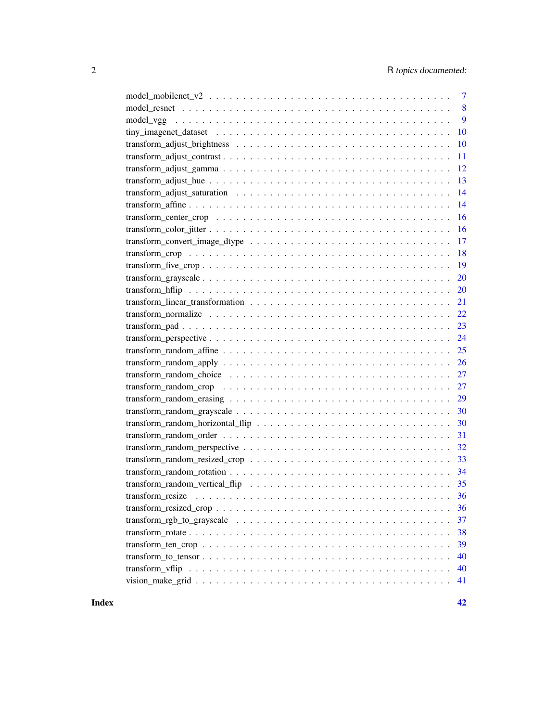| $\overline{7}$                                                                                                           |
|--------------------------------------------------------------------------------------------------------------------------|
| 8                                                                                                                        |
| 9                                                                                                                        |
| 10                                                                                                                       |
| 10                                                                                                                       |
| 11                                                                                                                       |
| 12                                                                                                                       |
| 13                                                                                                                       |
| 14                                                                                                                       |
| 14                                                                                                                       |
| 16                                                                                                                       |
| 16                                                                                                                       |
| 17                                                                                                                       |
| 18                                                                                                                       |
| 19                                                                                                                       |
| 20                                                                                                                       |
| 20                                                                                                                       |
| 21                                                                                                                       |
| 22                                                                                                                       |
| 23                                                                                                                       |
| 24                                                                                                                       |
|                                                                                                                          |
|                                                                                                                          |
|                                                                                                                          |
| 27<br>transform_random_crop $\ldots \ldots \ldots \ldots \ldots \ldots \ldots \ldots \ldots \ldots \ldots \ldots \ldots$ |
| 29                                                                                                                       |
| 30                                                                                                                       |
| 30                                                                                                                       |
| 31                                                                                                                       |
|                                                                                                                          |
|                                                                                                                          |
|                                                                                                                          |
|                                                                                                                          |
|                                                                                                                          |
| 36                                                                                                                       |
| 37                                                                                                                       |
| 38                                                                                                                       |
| 39                                                                                                                       |
| 40                                                                                                                       |
| 40                                                                                                                       |
| 41                                                                                                                       |
|                                                                                                                          |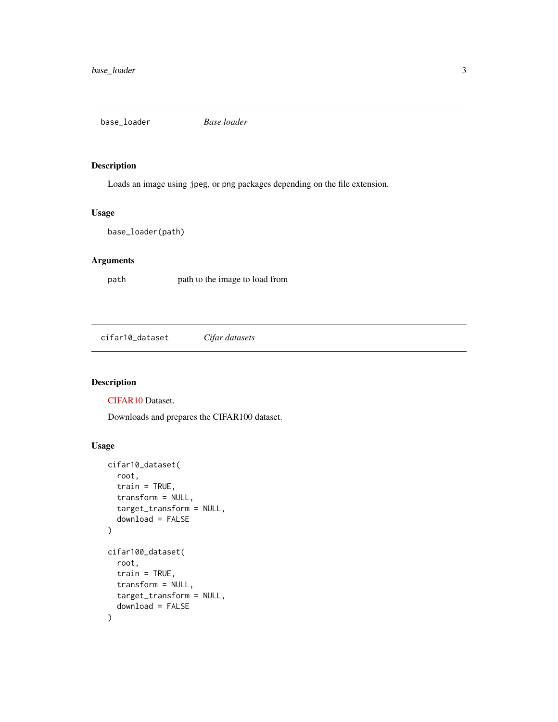<span id="page-2-0"></span>base\_loader *Base loader*

# Description

Loads an image using jpeg, or png packages depending on the file extension.

#### Usage

base\_loader(path)

# Arguments

path path to the image to load from

cifar10\_dataset *Cifar datasets*

# Description

[CIFAR10](https://www.cs.toronto.edu/~kriz/cifar.html) Dataset.

Downloads and prepares the CIFAR100 dataset.

# Usage

```
cifar10_dataset(
  root,
  train = TRUE,
  transform = NULL,
  target_transform = NULL,
  download = FALSE
)
cifar100_dataset(
  root,
  train = TRUE,
  transform = NULL,
  target_transform = NULL,
  download = FALSE
\mathcal{L}
```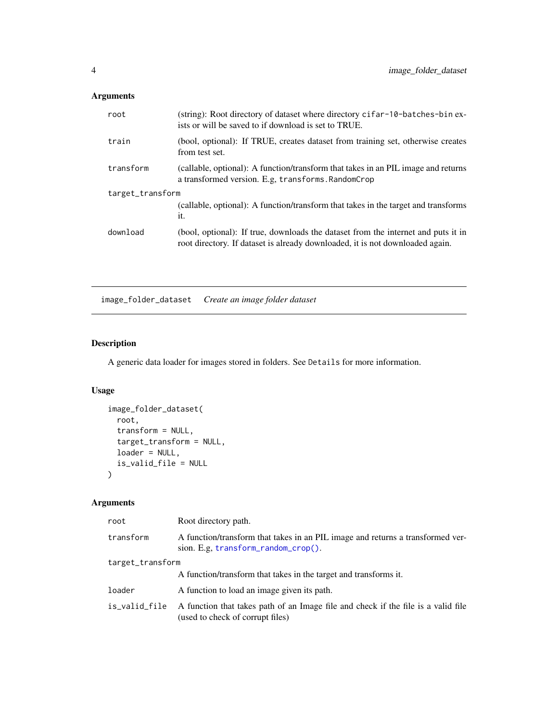# <span id="page-3-0"></span>Arguments

| root             | (string): Root directory of dataset where directory cifar-10-batches-bin ex-<br>ists or will be saved to if download is set to TRUE.                               |  |
|------------------|--------------------------------------------------------------------------------------------------------------------------------------------------------------------|--|
| train            | (bool, optional): If TRUE, creates dataset from training set, otherwise creates<br>from test set.                                                                  |  |
| transform        | (callable, optional): A function/transform that takes in an PIL image and returns<br>a transformed version. E.g. transforms. RandomCrop                            |  |
| target_transform |                                                                                                                                                                    |  |
|                  | (callable, optional): A function/transform that takes in the target and transforms<br>it.                                                                          |  |
| download         | (bool, optional): If true, downloads the dataset from the internet and puts it in<br>root directory. If dataset is already downloaded, it is not downloaded again. |  |

<span id="page-3-1"></span>image\_folder\_dataset *Create an image folder dataset*

# Description

A generic data loader for images stored in folders. See Details for more information.

# Usage

```
image_folder_dataset(
  root,
  transform = NULL,
  target_transform = NULL,
 loader = NULL,
  is_valid_file = NULL
\mathcal{L}
```

| root             | Root directory path.                                                                                                       |
|------------------|----------------------------------------------------------------------------------------------------------------------------|
| transform        | A function/transform that takes in an PIL image and returns a transformed ver-<br>sion. E.g. $transform\_random\_crop()$ . |
| target_transform |                                                                                                                            |
|                  | A function/transform that takes in the target and transforms it.                                                           |
| loader           | A function to load an image given its path.                                                                                |
| is_valid_file    | A function that takes path of an Image file and check if the file is a valid file<br>(used to check of corrupt files)      |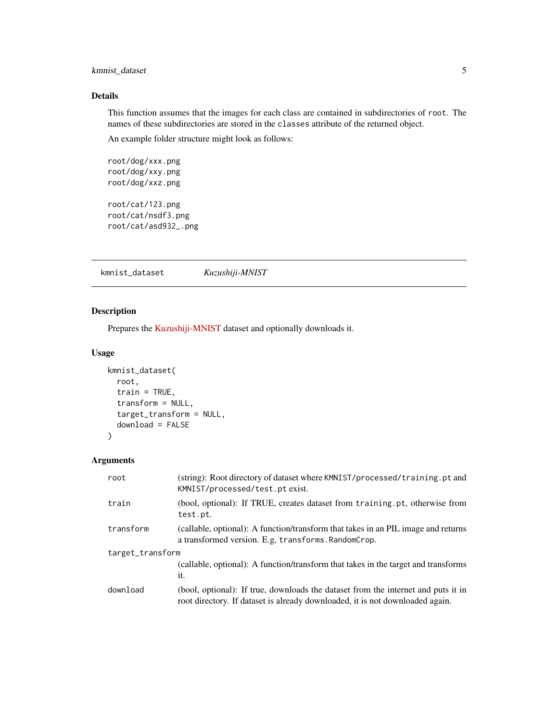# <span id="page-4-0"></span>kmnist\_dataset 5

# Details

This function assumes that the images for each class are contained in subdirectories of root. The names of these subdirectories are stored in the classes attribute of the returned object.

An example folder structure might look as follows:

root/dog/xxx.png root/dog/xxy.png root/dog/xxz.png root/cat/123.png

root/cat/nsdf3.png root/cat/asd932\_.png

kmnist\_dataset *Kuzushiji-MNIST*

# Description

Prepares the [Kuzushiji-MNIST](https://github.com/rois-codh/kmnist) dataset and optionally downloads it.

#### Usage

```
kmnist_dataset(
  root,
  train = TRUE,
  transform = NULL,
  target_transform = NULL,
  download = FALSE
)
```

| root             | (string): Root directory of dataset where KMNIST/processed/training.pt and<br>KMNIST/processed/test.pt exist.                                                      |  |
|------------------|--------------------------------------------------------------------------------------------------------------------------------------------------------------------|--|
| train            | (bool, optional): If TRUE, creates dataset from training pt, otherwise from<br>test.pt.                                                                            |  |
| transform        | (callable, optional): A function/transform that takes in an PIL image and returns<br>a transformed version. E.g, transforms. RandomCrop.                           |  |
| target_transform |                                                                                                                                                                    |  |
|                  | (callable, optional): A function/transform that takes in the target and transforms<br>it.                                                                          |  |
| download         | (bool, optional): If true, downloads the dataset from the internet and puts it in<br>root directory. If dataset is already downloaded, it is not downloaded again. |  |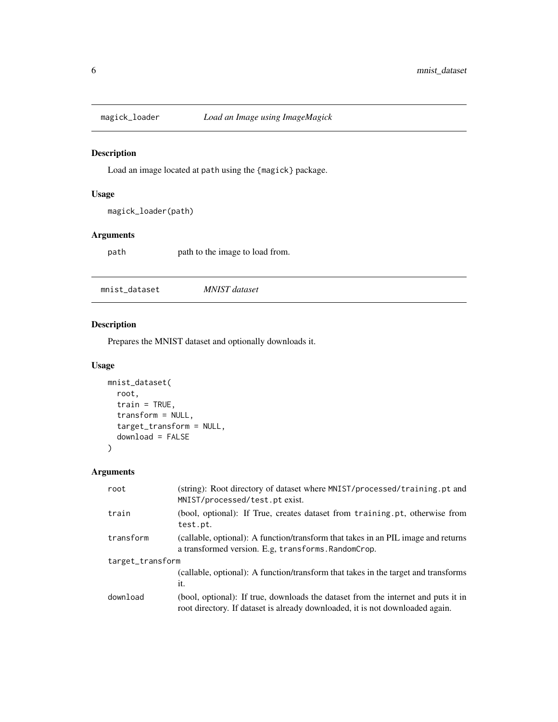<span id="page-5-0"></span>

Load an image located at path using the {magick} package.

#### Usage

magick\_loader(path)

# Arguments

path path to the image to load from.

mnist\_dataset *MNIST dataset*

# Description

Prepares the MNIST dataset and optionally downloads it.

# Usage

```
mnist_dataset(
  root,
  train = TRUE,transform = NULL,
  target_transform = NULL,
  download = FALSE
\mathcal{L}
```

| root             | (string): Root directory of dataset where MNIST/processed/training.pt and<br>MNIST/processed/test.pt exist.                                                        |  |
|------------------|--------------------------------------------------------------------------------------------------------------------------------------------------------------------|--|
| train            | (bool, optional): If True, creates dataset from training.pt, otherwise from<br>test.pt.                                                                            |  |
| transform        | (callable, optional): A function/transform that takes in an PIL image and returns<br>a transformed version. E.g. transforms. RandomCrop.                           |  |
| target_transform |                                                                                                                                                                    |  |
|                  | (callable, optional): A function/transform that takes in the target and transforms<br>it.                                                                          |  |
| download         | (bool, optional): If true, downloads the dataset from the internet and puts it in<br>root directory. If dataset is already downloaded, it is not downloaded again. |  |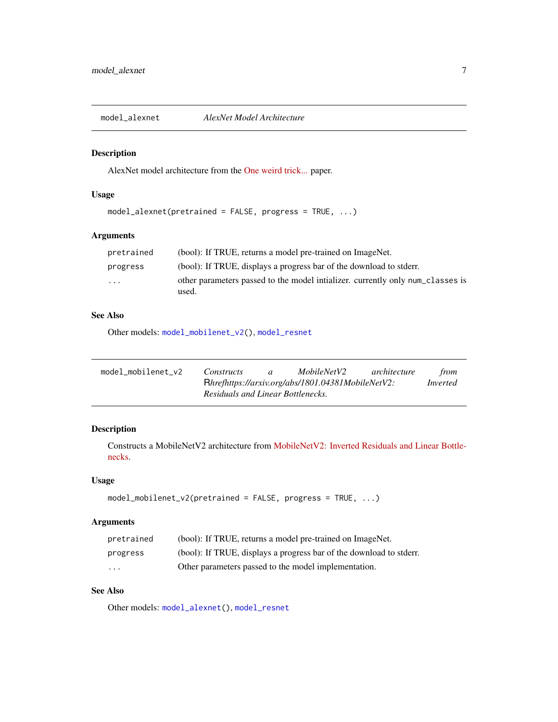<span id="page-6-2"></span><span id="page-6-0"></span>

AlexNet model architecture from the [One weird trick...](https://arxiv.org/abs/1404.5997) paper.

# Usage

```
model_alexnet(pretrained = FALSE, progress = TRUE, ...)
```
# Arguments

| pretrained              | (bool): If TRUE, returns a model pre-trained on ImageNet.                                |
|-------------------------|------------------------------------------------------------------------------------------|
| progress                | (bool): If TRUE, displays a progress bar of the download to stderr.                      |
| $\cdot$ $\cdot$ $\cdot$ | other parameters passed to the model initializer, currently only num classes is<br>used. |

# See Also

Other models: [model\\_mobilenet\\_v2\(](#page-6-1)), [model\\_resnet](#page-7-1)

<span id="page-6-1"></span>

| model mobilenet v2 | Constructs                        | $\mathfrak{a}$ | MobileNetV2                                       | architecture | from     |
|--------------------|-----------------------------------|----------------|---------------------------------------------------|--------------|----------|
|                    |                                   |                | Rhrefhttps://arxiv.org/abs/1801.04381MobileNetV2: |              | Inverted |
|                    | Residuals and Linear Bottlenecks. |                |                                                   |              |          |

# Description

Constructs a MobileNetV2 architecture from [MobileNetV2: Inverted Residuals and Linear Bottle](https://arxiv.org/abs/1801.04381)[necks.](https://arxiv.org/abs/1801.04381)

# Usage

```
model_mobilenet_v2(pretrained = FALSE, progress = TRUE, ...)
```
# Arguments

| pretrained              | (bool): If TRUE, returns a model pre-trained on ImageNet.          |
|-------------------------|--------------------------------------------------------------------|
| progress                | (bool): If TRUE, displays a progress bar of the download to stder. |
| $\cdot$ $\cdot$ $\cdot$ | Other parameters passed to the model implementation.               |

# See Also

Other models: [model\\_alexnet\(](#page-6-2)), [model\\_resnet](#page-7-1)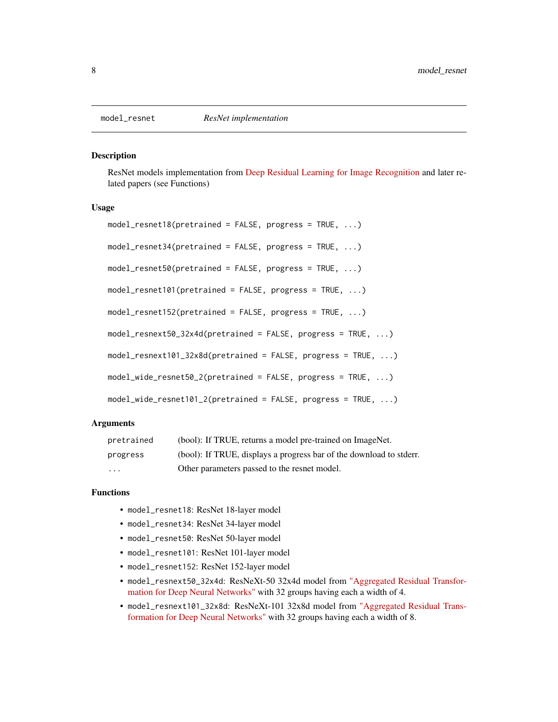ResNet models implementation from [Deep Residual Learning for Image Recognition](https://arxiv.org/pdf/1512.03385.pdf) and later related papers (see Functions)

#### Usage

```
model_resnet18(pretrained = FALSE, progress = TRUE, ...)
model_resnet34(pretrained = FALSE, progress = TRUE, ...)
model_resnet50(pretrained = FALSE, progress = TRUE, ...)
model_resnet101(pretrained = FALSE, progress = TRUE, ...)
model_resnet152(pretrained = FALSE, progress = TRUE, ...)
model_resnext50_32x4d(pretrained = FALSE, progress = TRUE, ...)
model_resnext101_32x8d(pretrained = FALSE, progress = TRUE, ...)
model_wide_resnet50_2(pretrained = FALSE, progress = TRUE, ...)
model_wide_resnet101_2(pretrained = FALSE, progress = TRUE, ...)
```
#### Arguments

| pretrained              | (bool): If TRUE, returns a model pre-trained on ImageNet.          |
|-------------------------|--------------------------------------------------------------------|
| progress                | (bool): If TRUE, displays a progress bar of the download to stder. |
| $\cdot$ $\cdot$ $\cdot$ | Other parameters passed to the resnet model.                       |

#### Functions

- model\_resnet18: ResNet 18-layer model
- model\_resnet34: ResNet 34-layer model
- model\_resnet50: ResNet 50-layer model
- model\_resnet101: ResNet 101-layer model
- model\_resnet152: ResNet 152-layer model
- model\_resnext50\_32x4d: ResNeXt-50 32x4d model from ["Aggregated Residual Transfor](https://arxiv.org/pdf/1611.05431.pdf)[mation for Deep Neural Networks"](https://arxiv.org/pdf/1611.05431.pdf) with 32 groups having each a width of 4.
- model\_resnext101\_32x8d: ResNeXt-101 32x8d model from ["Aggregated Residual Trans](https://arxiv.org/pdf/1611.05431.pdf)[formation for Deep Neural Networks"](https://arxiv.org/pdf/1611.05431.pdf) with 32 groups having each a width of 8.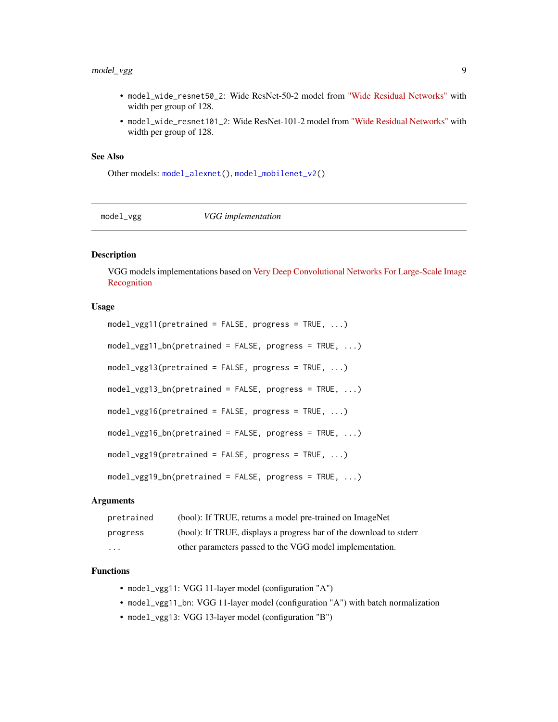# <span id="page-8-0"></span>model\_vgg 9

- model\_wide\_resnet50\_2: Wide ResNet-50-2 model from ["Wide Residual Networks"](https://arxiv.org/pdf/1605.07146.pdf) with width per group of 128.
- model\_wide\_resnet101\_2: Wide ResNet-101-2 model from ["Wide Residual Networks"](https://arxiv.org/pdf/1605.07146.pdf) with width per group of 128.

#### See Also

Other models: [model\\_alexnet\(](#page-6-2)), [model\\_mobilenet\\_v2\(](#page-6-1))

model\_vgg *VGG implementation*

# **Description**

VGG models implementations based on [Very Deep Convolutional Networks For Large-Scale Image](https://arxiv.org/pdf/1409.1556.pdf) [Recognition](https://arxiv.org/pdf/1409.1556.pdf)

#### Usage

```
model\_vgg11(pretrained = FALSE, progress = TRUE, ...)model_vgg11_bn(pretrained = FALSE, progress = TRUE, ...)
model\_vgg13(pretrained = FALSE, progress = TRUE, ...)model_vgg13_bn(pretrained = FALSE, progress = TRUE, ...)
model\_vgg16(pretrained = FALSE, progress = TRUE, ...)model_vgg16_bn(pretrained = FALSE, progress = TRUE, ...)
model\_vgg19(pretrained = FALSE, progress = TRUE, ...)model_vgg19_bn(pretrained = FALSE, progress = TRUE, ...)
```
# Arguments

| pretrained              | (bool): If TRUE, returns a model pre-trained on ImageNet          |
|-------------------------|-------------------------------------------------------------------|
| progress                | (bool): If TRUE, displays a progress bar of the download to stder |
| $\cdot$ $\cdot$ $\cdot$ | other parameters passed to the VGG model implementation.          |

# Functions

- model\_vgg11: VGG 11-layer model (configuration "A")
- model\_vgg11\_bn: VGG 11-layer model (configuration "A") with batch normalization
- model\_vgg13: VGG 13-layer model (configuration "B")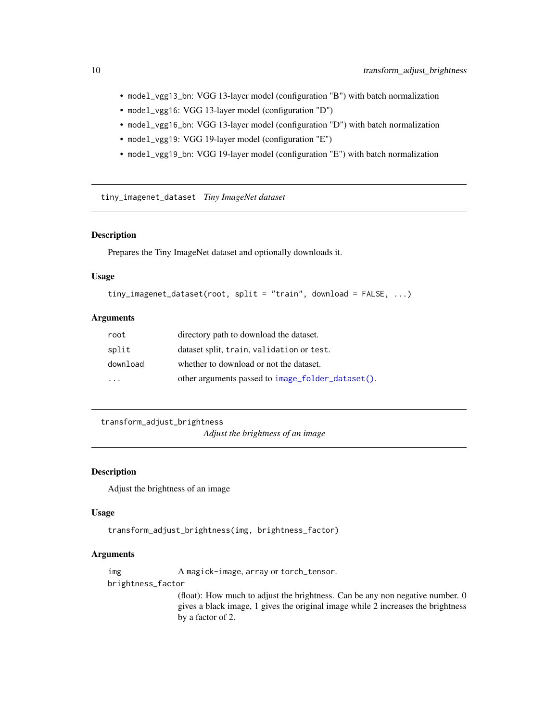- <span id="page-9-0"></span>• model\_vgg13\_bn: VGG 13-layer model (configuration "B") with batch normalization
- model\_vgg16: VGG 13-layer model (configuration "D")
- model\_vgg16\_bn: VGG 13-layer model (configuration "D") with batch normalization
- model\_vgg19: VGG 19-layer model (configuration "E")
- model\_vgg19\_bn: VGG 19-layer model (configuration "E") with batch normalization

tiny\_imagenet\_dataset *Tiny ImageNet dataset*

# Description

Prepares the Tiny ImageNet dataset and optionally downloads it.

#### Usage

```
tiny_imagenet_dataset(root, split = "train", download = FALSE, ...)
```
#### Arguments

| root     | directory path to download the dataset.           |
|----------|---------------------------------------------------|
| split    | dataset split, train, validation or test.         |
| download | whether to download or not the dataset.           |
| .        | other arguments passed to image_folder_dataset(). |

<span id="page-9-1"></span>transform\_adjust\_brightness

*Adjust the brightness of an image*

# **Description**

Adjust the brightness of an image

#### Usage

```
transform_adjust_brightness(img, brightness_factor)
```
#### Arguments

img A magick-image, array or torch\_tensor.

brightness\_factor

(float): How much to adjust the brightness. Can be any non negative number. 0 gives a black image, 1 gives the original image while 2 increases the brightness by a factor of 2.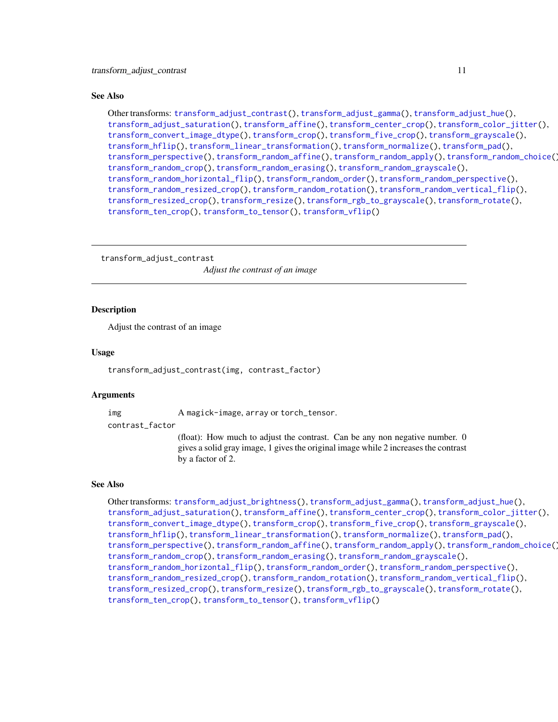#### <span id="page-10-0"></span>See Also

Other transforms: [transform\\_adjust\\_contrast\(](#page-10-1)), [transform\\_adjust\\_gamma\(](#page-11-1)), [transform\\_adjust\\_hue\(](#page-12-1)), [transform\\_adjust\\_saturation\(](#page-13-1)), [transform\\_affine\(](#page-13-2)), [transform\\_center\\_crop\(](#page-15-1)), [transform\\_color\\_jitter\(](#page-15-2)), [transform\\_convert\\_image\\_dtype\(](#page-16-1)), [transform\\_crop\(](#page-17-1)), [transform\\_five\\_crop\(](#page-18-1)), [transform\\_grayscale\(](#page-19-1)), [transform\\_hflip\(](#page-19-2)), [transform\\_linear\\_transformation\(](#page-20-1)), [transform\\_normalize\(](#page-21-1)), [transform\\_pad\(](#page-22-1)), [transform\\_perspective\(](#page-23-1)), [transform\\_random\\_affine\(](#page-24-1)), [transform\\_random\\_apply\(](#page-25-1)), [transform\\_random\\_choice\(](#page-26-2)), [transform\\_random\\_crop\(](#page-26-1)), [transform\\_random\\_erasing\(](#page-28-1)), [transform\\_random\\_grayscale\(](#page-29-1)), [transform\\_random\\_horizontal\\_flip\(](#page-29-2)), [transform\\_random\\_order\(](#page-30-1)), [transform\\_random\\_perspective\(](#page-31-1)), [transform\\_random\\_resized\\_crop\(](#page-32-1)), [transform\\_random\\_rotation\(](#page-33-1)), [transform\\_random\\_vertical\\_flip\(](#page-34-1)), [transform\\_resized\\_crop\(](#page-35-1)), [transform\\_resize\(](#page-35-2)), [transform\\_rgb\\_to\\_grayscale\(](#page-36-1)), [transform\\_rotate\(](#page-37-1)), [transform\\_ten\\_crop\(](#page-38-1)), [transform\\_to\\_tensor\(](#page-39-1)), [transform\\_vflip\(](#page-39-2))

<span id="page-10-1"></span>transform\_adjust\_contrast

*Adjust the contrast of an image*

#### Description

Adjust the contrast of an image

#### Usage

transform\_adjust\_contrast(img, contrast\_factor)

#### Arguments

img A magick-image, array or torch\_tensor.

contrast\_factor

(float): How much to adjust the contrast. Can be any non negative number. 0 gives a solid gray image, 1 gives the original image while 2 increases the contrast by a factor of 2.

#### See Also

Other transforms: [transform\\_adjust\\_brightness\(](#page-9-1)), [transform\\_adjust\\_gamma\(](#page-11-1)), [transform\\_adjust\\_hue\(](#page-12-1)), [transform\\_adjust\\_saturation\(](#page-13-1)), [transform\\_affine\(](#page-13-2)), [transform\\_center\\_crop\(](#page-15-1)), [transform\\_color\\_jitter\(](#page-15-2)), [transform\\_convert\\_image\\_dtype\(](#page-16-1)), [transform\\_crop\(](#page-17-1)), [transform\\_five\\_crop\(](#page-18-1)), [transform\\_grayscale\(](#page-19-1)), [transform\\_hflip\(](#page-19-2)), [transform\\_linear\\_transformation\(](#page-20-1)), [transform\\_normalize\(](#page-21-1)), [transform\\_pad\(](#page-22-1)), [transform\\_perspective\(](#page-23-1)), [transform\\_random\\_affine\(](#page-24-1)), [transform\\_random\\_apply\(](#page-25-1)), [transform\\_random\\_choice\(](#page-26-2)), [transform\\_random\\_crop\(](#page-26-1)), [transform\\_random\\_erasing\(](#page-28-1)), [transform\\_random\\_grayscale\(](#page-29-1)), [transform\\_random\\_horizontal\\_flip\(](#page-29-2)), [transform\\_random\\_order\(](#page-30-1)), [transform\\_random\\_perspective\(](#page-31-1)), [transform\\_random\\_resized\\_crop\(](#page-32-1)), [transform\\_random\\_rotation\(](#page-33-1)), [transform\\_random\\_vertical\\_flip\(](#page-34-1)), [transform\\_resized\\_crop\(](#page-35-1)), [transform\\_resize\(](#page-35-2)), [transform\\_rgb\\_to\\_grayscale\(](#page-36-1)), [transform\\_rotate\(](#page-37-1)), [transform\\_ten\\_crop\(](#page-38-1)), [transform\\_to\\_tensor\(](#page-39-1)), [transform\\_vflip\(](#page-39-2))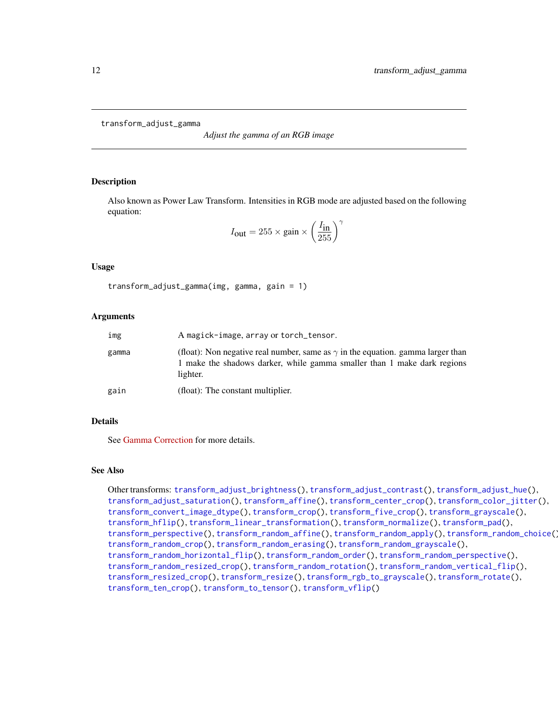<span id="page-11-1"></span><span id="page-11-0"></span>transform\_adjust\_gamma

*Adjust the gamma of an RGB image*

#### **Description**

Also known as Power Law Transform. Intensities in RGB mode are adjusted based on the following equation:

$$
I_{\text{out}} = 255 \times \text{gain} \times \left(\frac{I_{\text{in}}}{255}\right)^{\gamma}
$$

#### Usage

transform\_adjust\_gamma(img, gamma, gain = 1)

#### Arguments

| img   | A magick-image, array or torch_tensor.                                                                                                                                        |
|-------|-------------------------------------------------------------------------------------------------------------------------------------------------------------------------------|
| gamma | (float): Non negative real number, same as $\gamma$ in the equation. gamma larger than<br>1 make the shadows darker, while gamma smaller than 1 make dark regions<br>lighter. |
| gain  | (float): The constant multiplier.                                                                                                                                             |

#### Details

See [Gamma Correction](https://en.wikipedia.org/wiki/Gamma_correction) for more details.

## See Also

Other transforms: [transform\\_adjust\\_brightness\(](#page-9-1)), [transform\\_adjust\\_contrast\(](#page-10-1)), [transform\\_adjust\\_hue\(](#page-12-1)), [transform\\_adjust\\_saturation\(](#page-13-1)), [transform\\_affine\(](#page-13-2)), [transform\\_center\\_crop\(](#page-15-1)), [transform\\_color\\_jitter\(](#page-15-2)), [transform\\_convert\\_image\\_dtype\(](#page-16-1)), [transform\\_crop\(](#page-17-1)), [transform\\_five\\_crop\(](#page-18-1)), [transform\\_grayscale\(](#page-19-1)), [transform\\_hflip\(](#page-19-2)), [transform\\_linear\\_transformation\(](#page-20-1)), [transform\\_normalize\(](#page-21-1)), [transform\\_pad\(](#page-22-1)), [transform\\_perspective\(](#page-23-1)), [transform\\_random\\_affine\(](#page-24-1)), [transform\\_random\\_apply\(](#page-25-1)), [transform\\_random\\_choice\(](#page-26-2)), [transform\\_random\\_crop\(](#page-26-1)), [transform\\_random\\_erasing\(](#page-28-1)), [transform\\_random\\_grayscale\(](#page-29-1)), [transform\\_random\\_horizontal\\_flip\(](#page-29-2)), [transform\\_random\\_order\(](#page-30-1)), [transform\\_random\\_perspective\(](#page-31-1)), [transform\\_random\\_resized\\_crop\(](#page-32-1)), [transform\\_random\\_rotation\(](#page-33-1)), [transform\\_random\\_vertical\\_flip\(](#page-34-1)), [transform\\_resized\\_crop\(](#page-35-1)), [transform\\_resize\(](#page-35-2)), [transform\\_rgb\\_to\\_grayscale\(](#page-36-1)), [transform\\_rotate\(](#page-37-1)), [transform\\_ten\\_crop\(](#page-38-1)), [transform\\_to\\_tensor\(](#page-39-1)), [transform\\_vflip\(](#page-39-2))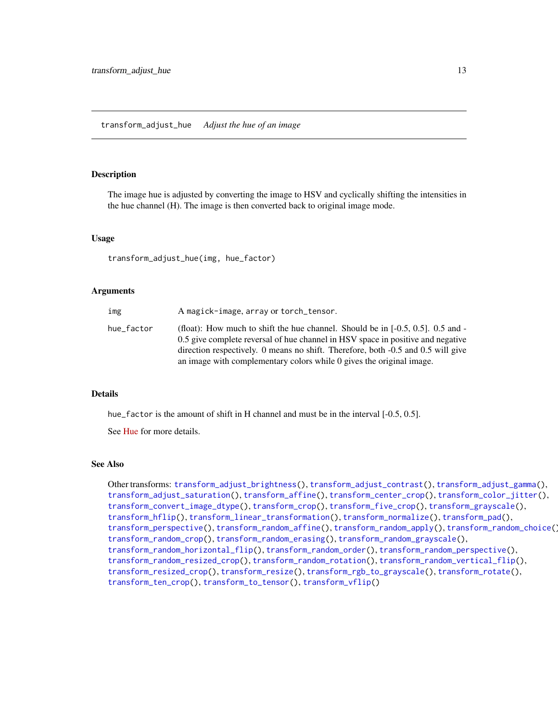<span id="page-12-1"></span><span id="page-12-0"></span>The image hue is adjusted by converting the image to HSV and cyclically shifting the intensities in the hue channel (H). The image is then converted back to original image mode.

#### Usage

transform\_adjust\_hue(img, hue\_factor)

#### Arguments

| img        | A magick-image, array or torch_tensor.                                                                                                                                                                                                                                                                                            |
|------------|-----------------------------------------------------------------------------------------------------------------------------------------------------------------------------------------------------------------------------------------------------------------------------------------------------------------------------------|
| hue factor | (float): How much to shift the hue channel. Should be in $[-0.5, 0.5]$ . 0.5 and -<br>0.5 give complete reversal of hue channel in HSV space in positive and negative<br>direction respectively. 0 means no shift. Therefore, both -0.5 and 0.5 will give<br>an image with complementary colors while 0 gives the original image. |

#### Details

hue\_factor is the amount of shift in H channel and must be in the interval [-0.5, 0.5].

See [Hue](https://en.wikipedia.org/wiki/Hue) for more details.

#### See Also

Other transforms: [transform\\_adjust\\_brightness\(](#page-9-1)), [transform\\_adjust\\_contrast\(](#page-10-1)), [transform\\_adjust\\_gamma\(](#page-11-1)), [transform\\_adjust\\_saturation\(](#page-13-1)), [transform\\_affine\(](#page-13-2)), [transform\\_center\\_crop\(](#page-15-1)), [transform\\_color\\_jitter\(](#page-15-2)), [transform\\_convert\\_image\\_dtype\(](#page-16-1)), [transform\\_crop\(](#page-17-1)), [transform\\_five\\_crop\(](#page-18-1)), [transform\\_grayscale\(](#page-19-1)), [transform\\_hflip\(](#page-19-2)), [transform\\_linear\\_transformation\(](#page-20-1)), [transform\\_normalize\(](#page-21-1)), [transform\\_pad\(](#page-22-1)), [transform\\_perspective\(](#page-23-1)), [transform\\_random\\_affine\(](#page-24-1)), [transform\\_random\\_apply\(](#page-25-1)), [transform\\_random\\_choice\(](#page-26-2)), [transform\\_random\\_crop\(](#page-26-1)), [transform\\_random\\_erasing\(](#page-28-1)), [transform\\_random\\_grayscale\(](#page-29-1)), [transform\\_random\\_horizontal\\_flip\(](#page-29-2)), [transform\\_random\\_order\(](#page-30-1)), [transform\\_random\\_perspective\(](#page-31-1)), [transform\\_random\\_resized\\_crop\(](#page-32-1)), [transform\\_random\\_rotation\(](#page-33-1)), [transform\\_random\\_vertical\\_flip\(](#page-34-1)), [transform\\_resized\\_crop\(](#page-35-1)), [transform\\_resize\(](#page-35-2)), [transform\\_rgb\\_to\\_grayscale\(](#page-36-1)), [transform\\_rotate\(](#page-37-1)), [transform\\_ten\\_crop\(](#page-38-1)), [transform\\_to\\_tensor\(](#page-39-1)), [transform\\_vflip\(](#page-39-2))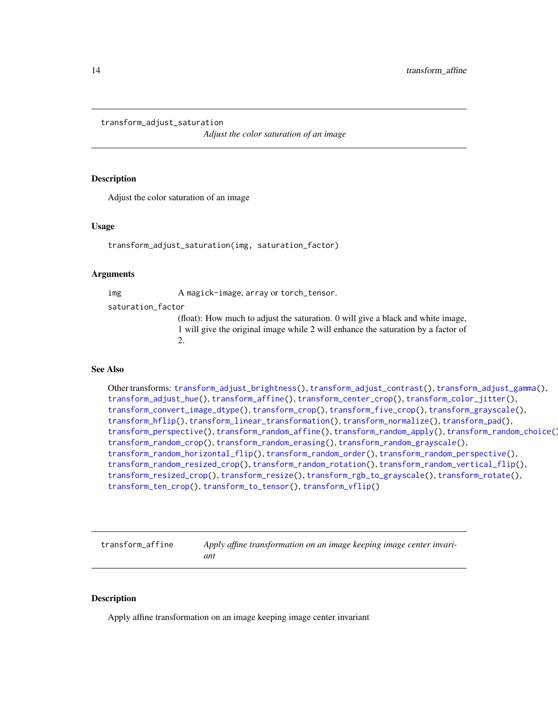<span id="page-13-1"></span><span id="page-13-0"></span>transform\_adjust\_saturation

*Adjust the color saturation of an image*

#### Description

Adjust the color saturation of an image

#### Usage

transform\_adjust\_saturation(img, saturation\_factor)

#### Arguments

img A magick-image, array or torch\_tensor.

saturation\_factor

(float): How much to adjust the saturation. 0 will give a black and white image, 1 will give the original image while 2 will enhance the saturation by a factor of 2.

# See Also

Other transforms: [transform\\_adjust\\_brightness\(](#page-9-1)), [transform\\_adjust\\_contrast\(](#page-10-1)), [transform\\_adjust\\_gamma\(](#page-11-1)), [transform\\_adjust\\_hue\(](#page-12-1)), [transform\\_affine\(](#page-13-2)), [transform\\_center\\_crop\(](#page-15-1)), [transform\\_color\\_jitter\(](#page-15-2)), [transform\\_convert\\_image\\_dtype\(](#page-16-1)), [transform\\_crop\(](#page-17-1)), [transform\\_five\\_crop\(](#page-18-1)), [transform\\_grayscale\(](#page-19-1)), [transform\\_hflip\(](#page-19-2)), [transform\\_linear\\_transformation\(](#page-20-1)), [transform\\_normalize\(](#page-21-1)), [transform\\_pad\(](#page-22-1)), [transform\\_perspective\(](#page-23-1)), [transform\\_random\\_affine\(](#page-24-1)), [transform\\_random\\_apply\(](#page-25-1)), [transform\\_random\\_choice\(](#page-26-2)), [transform\\_random\\_crop\(](#page-26-1)), [transform\\_random\\_erasing\(](#page-28-1)), [transform\\_random\\_grayscale\(](#page-29-1)), [transform\\_random\\_horizontal\\_flip\(](#page-29-2)), [transform\\_random\\_order\(](#page-30-1)), [transform\\_random\\_perspective\(](#page-31-1)), [transform\\_random\\_resized\\_crop\(](#page-32-1)), [transform\\_random\\_rotation\(](#page-33-1)), [transform\\_random\\_vertical\\_flip\(](#page-34-1)), [transform\\_resized\\_crop\(](#page-35-1)), [transform\\_resize\(](#page-35-2)), [transform\\_rgb\\_to\\_grayscale\(](#page-36-1)), [transform\\_rotate\(](#page-37-1)), [transform\\_ten\\_crop\(](#page-38-1)), [transform\\_to\\_tensor\(](#page-39-1)), [transform\\_vflip\(](#page-39-2))

<span id="page-13-2"></span>transform\_affine *Apply affine transformation on an image keeping image center invariant*

#### Description

Apply affine transformation on an image keeping image center invariant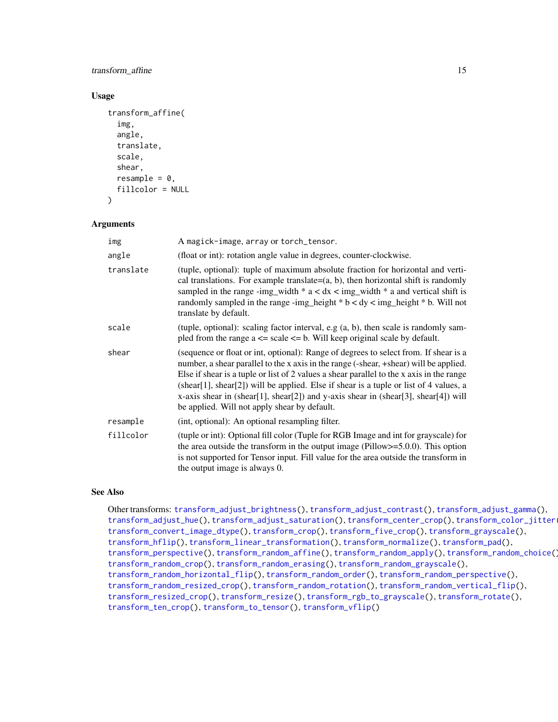# <span id="page-14-0"></span>transform\_affine 15

#### Usage

```
transform_affine(
  img,
  angle,
  translate,
  scale,
  shear,
  resample = 0,
  fillcolor = NULL
\lambda
```
# Arguments

| img       | A magick-image, array or torch_tensor.                                                                                                                                                                                                                                                                                                                                                                                                                                                                   |
|-----------|----------------------------------------------------------------------------------------------------------------------------------------------------------------------------------------------------------------------------------------------------------------------------------------------------------------------------------------------------------------------------------------------------------------------------------------------------------------------------------------------------------|
| angle     | (float or int): rotation angle value in degrees, counter-clockwise.                                                                                                                                                                                                                                                                                                                                                                                                                                      |
| translate | (tuple, optional): tuple of maximum absolute fraction for horizontal and verti-<br>cal translations. For example translate= $(a, b)$ , then horizontal shift is randomly<br>sampled in the range -img_width $* a < dx <$ img_width $* a$ and vertical shift is<br>randomly sampled in the range -img_height $*$ b < dy < img_height $*$ b. Will not<br>translate by default.                                                                                                                             |
| scale     | (tuple, optional): scaling factor interval, e.g $(a, b)$ , then scale is randomly sam-<br>pled from the range $a \leq$ scale $\leq$ b. Will keep original scale by default.                                                                                                                                                                                                                                                                                                                              |
| shear     | (sequence or float or int, optional): Range of degrees to select from. If shear is a<br>number, a shear parallel to the x axis in the range (-shear, +shear) will be applied.<br>Else if shear is a tuple or list of 2 values a shear parallel to the x axis in the range<br>(shear[1], shear[2]) will be applied. Else if shear is a tuple or list of 4 values, a<br>x-axis shear in (shear[1], shear[2]) and y-axis shear in (shear[3], shear[4]) will<br>be applied. Will not apply shear by default. |
| resample  | (int, optional): An optional resampling filter.                                                                                                                                                                                                                                                                                                                                                                                                                                                          |
| fillcolor | (tuple or int): Optional fill color (Tuple for RGB Image and int for grayscale) for<br>the area outside the transform in the output image ( $Pillow \ge 5.0.0$ ). This option<br>is not supported for Tensor input. Fill value for the area outside the transform in<br>the output image is always 0.                                                                                                                                                                                                    |

# See Also

Other transforms: [transform\\_adjust\\_brightness\(](#page-9-1)), [transform\\_adjust\\_contrast\(](#page-10-1)), [transform\\_adjust\\_gamma\(](#page-11-1)), [transform\\_adjust\\_hue\(](#page-12-1)), [transform\\_adjust\\_saturation\(](#page-13-1)), [transform\\_center\\_crop\(](#page-15-1)), [transform\\_color\\_jitter\(](#page-15-2)), [transform\\_convert\\_image\\_dtype\(](#page-16-1)), [transform\\_crop\(](#page-17-1)), [transform\\_five\\_crop\(](#page-18-1)), [transform\\_grayscale\(](#page-19-1)), [transform\\_hflip\(](#page-19-2)), [transform\\_linear\\_transformation\(](#page-20-1)), [transform\\_normalize\(](#page-21-1)), [transform\\_pad\(](#page-22-1)), [transform\\_perspective\(](#page-23-1)), [transform\\_random\\_affine\(](#page-24-1)), [transform\\_random\\_apply\(](#page-25-1)), [transform\\_random\\_choice\(](#page-26-2)), [transform\\_random\\_crop\(](#page-26-1)), [transform\\_random\\_erasing\(](#page-28-1)), [transform\\_random\\_grayscale\(](#page-29-1)), [transform\\_random\\_horizontal\\_flip\(](#page-29-2)), [transform\\_random\\_order\(](#page-30-1)), [transform\\_random\\_perspective\(](#page-31-1)), [transform\\_random\\_resized\\_crop\(](#page-32-1)), [transform\\_random\\_rotation\(](#page-33-1)), [transform\\_random\\_vertical\\_flip\(](#page-34-1)), [transform\\_resized\\_crop\(](#page-35-1)), [transform\\_resize\(](#page-35-2)), [transform\\_rgb\\_to\\_grayscale\(](#page-36-1)), [transform\\_rotate\(](#page-37-1)), [transform\\_ten\\_crop\(](#page-38-1)), [transform\\_to\\_tensor\(](#page-39-1)), [transform\\_vflip\(](#page-39-2))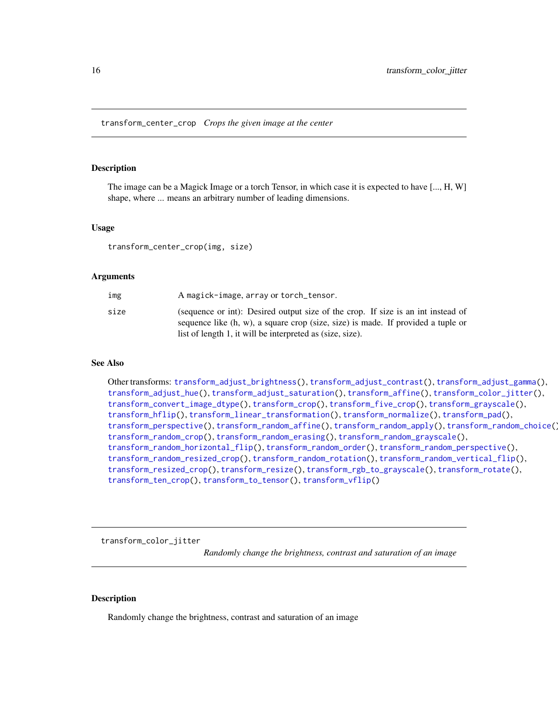<span id="page-15-1"></span><span id="page-15-0"></span>transform\_center\_crop *Crops the given image at the center*

#### Description

The image can be a Magick Image or a torch Tensor, in which case it is expected to have [..., H, W] shape, where ... means an arbitrary number of leading dimensions.

#### Usage

transform\_center\_crop(img, size)

#### Arguments

| img  | A magick-image, array or torch_tensor.                                                                                                                               |
|------|----------------------------------------------------------------------------------------------------------------------------------------------------------------------|
| size | (sequence or int): Desired output size of the crop. If size is an int instead of<br>sequence like (h, w), a square crop (size, size) is made. If provided a tuple or |
|      | list of length 1, it will be interpreted as (size, size).                                                                                                            |

#### See Also

Other transforms: [transform\\_adjust\\_brightness\(](#page-9-1)), [transform\\_adjust\\_contrast\(](#page-10-1)), [transform\\_adjust\\_gamma\(](#page-11-1)), [transform\\_adjust\\_hue\(](#page-12-1)), [transform\\_adjust\\_saturation\(](#page-13-1)), [transform\\_affine\(](#page-13-2)), [transform\\_color\\_jitter\(](#page-15-2)), [transform\\_convert\\_image\\_dtype\(](#page-16-1)), [transform\\_crop\(](#page-17-1)), [transform\\_five\\_crop\(](#page-18-1)), [transform\\_grayscale\(](#page-19-1)), [transform\\_hflip\(](#page-19-2)), [transform\\_linear\\_transformation\(](#page-20-1)), [transform\\_normalize\(](#page-21-1)), [transform\\_pad\(](#page-22-1)), [transform\\_perspective\(](#page-23-1)), [transform\\_random\\_affine\(](#page-24-1)), [transform\\_random\\_apply\(](#page-25-1)), [transform\\_random\\_choice\(](#page-26-2)), [transform\\_random\\_crop\(](#page-26-1)), [transform\\_random\\_erasing\(](#page-28-1)), [transform\\_random\\_grayscale\(](#page-29-1)), [transform\\_random\\_horizontal\\_flip\(](#page-29-2)), [transform\\_random\\_order\(](#page-30-1)), [transform\\_random\\_perspective\(](#page-31-1)), [transform\\_random\\_resized\\_crop\(](#page-32-1)), [transform\\_random\\_rotation\(](#page-33-1)), [transform\\_random\\_vertical\\_flip\(](#page-34-1)), [transform\\_resized\\_crop\(](#page-35-1)), [transform\\_resize\(](#page-35-2)), [transform\\_rgb\\_to\\_grayscale\(](#page-36-1)), [transform\\_rotate\(](#page-37-1)), [transform\\_ten\\_crop\(](#page-38-1)), [transform\\_to\\_tensor\(](#page-39-1)), [transform\\_vflip\(](#page-39-2))

<span id="page-15-2"></span>transform\_color\_jitter

*Randomly change the brightness, contrast and saturation of an image*

#### Description

Randomly change the brightness, contrast and saturation of an image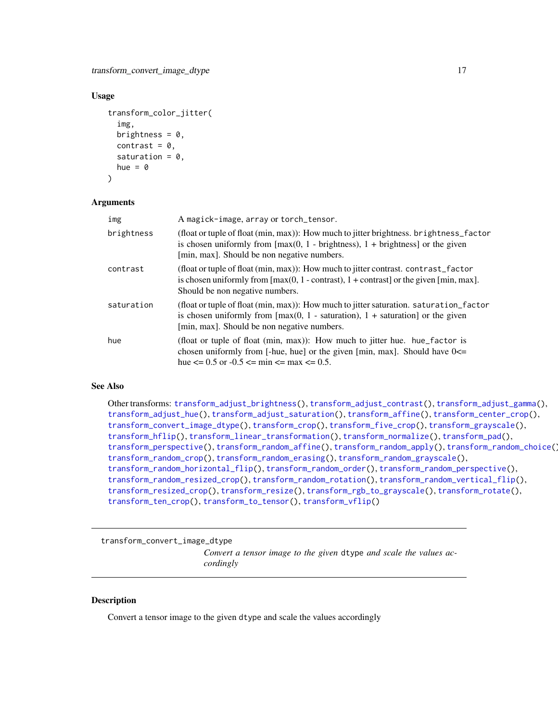#### <span id="page-16-0"></span>Usage

```
transform_color_jitter(
  img,
 brightness = 0,
 contrast = 0,
  saturation = 0,
 hue = \theta
```

```
)
```
#### Arguments

| img        | A magick-image, array or torch_tensor.                                                                                                                                                                                                                 |
|------------|--------------------------------------------------------------------------------------------------------------------------------------------------------------------------------------------------------------------------------------------------------|
| brightness | (float or tuple of float (min, max)): How much to jitter brightness. brightness_factor<br>is chosen uniformly from $\left[\max(0, 1 - \text{brightness})\right]$ , $1 + \text{brightness}$ or the given<br>[min, max]. Should be non negative numbers. |
| contrast   | (float or tuple of float (min, max)): How much to jitter contrast. contrast_factor<br>is chosen uniformly from $[\max(0, 1$ - contrast), $1 +$ contrast] or the given $[\min, \max]$ .<br>Should be non negative numbers.                              |
| saturation | (float or tuple of float (min, max)): How much to jitter saturation. saturation_factor<br>is chosen uniformly from $\lceil max(0, 1 - saturation) \rceil$ , 1 + saturation or the given<br>[min, max]. Should be non negative numbers.                 |
| hue        | (float or tuple of float (min, max)): How much to jitter hue. hue_factor is<br>chosen uniformly from [-hue, hue] or the given [min, max]. Should have $0 \le$<br>hue $\leq$ 0.5 or -0.5 $\leq$ min $\leq$ max $\leq$ 0.5.                              |

#### See Also

Other transforms: [transform\\_adjust\\_brightness\(](#page-9-1)), [transform\\_adjust\\_contrast\(](#page-10-1)), [transform\\_adjust\\_gamma\(](#page-11-1)), [transform\\_adjust\\_hue\(](#page-12-1)), [transform\\_adjust\\_saturation\(](#page-13-1)), [transform\\_affine\(](#page-13-2)), [transform\\_center\\_crop\(](#page-15-1)), [transform\\_convert\\_image\\_dtype\(](#page-16-1)), [transform\\_crop\(](#page-17-1)), [transform\\_five\\_crop\(](#page-18-1)), [transform\\_grayscale\(](#page-19-1)), [transform\\_hflip\(](#page-19-2)), [transform\\_linear\\_transformation\(](#page-20-1)), [transform\\_normalize\(](#page-21-1)), [transform\\_pad\(](#page-22-1)), [transform\\_perspective\(](#page-23-1)), [transform\\_random\\_affine\(](#page-24-1)), [transform\\_random\\_apply\(](#page-25-1)), [transform\\_random\\_choice\(](#page-26-2)), [transform\\_random\\_crop\(](#page-26-1)), [transform\\_random\\_erasing\(](#page-28-1)), [transform\\_random\\_grayscale\(](#page-29-1)), [transform\\_random\\_horizontal\\_flip\(](#page-29-2)), [transform\\_random\\_order\(](#page-30-1)), [transform\\_random\\_perspective\(](#page-31-1)), [transform\\_random\\_resized\\_crop\(](#page-32-1)), [transform\\_random\\_rotation\(](#page-33-1)), [transform\\_random\\_vertical\\_flip\(](#page-34-1)), [transform\\_resized\\_crop\(](#page-35-1)), [transform\\_resize\(](#page-35-2)), [transform\\_rgb\\_to\\_grayscale\(](#page-36-1)), [transform\\_rotate\(](#page-37-1)), [transform\\_ten\\_crop\(](#page-38-1)), [transform\\_to\\_tensor\(](#page-39-1)), [transform\\_vflip\(](#page-39-2))

<span id="page-16-1"></span>transform\_convert\_image\_dtype *Convert a tensor image to the given* dtype *and scale the values accordingly*

#### Description

Convert a tensor image to the given dtype and scale the values accordingly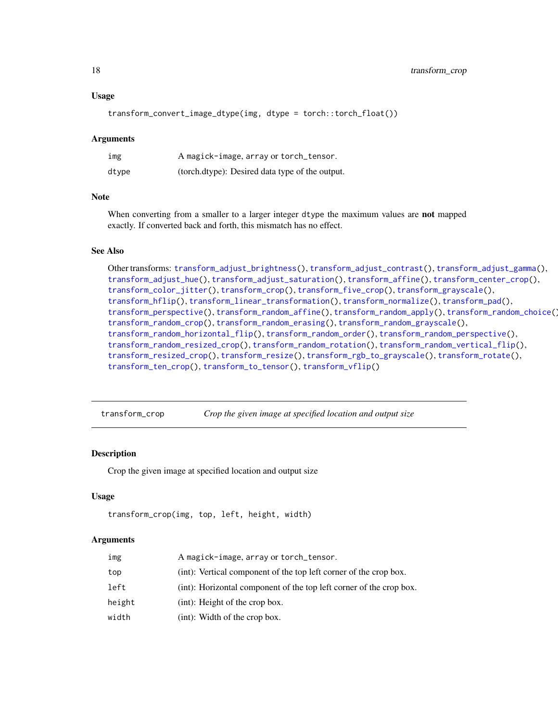#### <span id="page-17-0"></span>Usage

transform\_convert\_image\_dtype(img, dtype = torch::torch\_float())

#### Arguments

| img   | A magick-image, array or torch_tensor.          |
|-------|-------------------------------------------------|
| dtype | (torch.dtype): Desired data type of the output. |

#### Note

When converting from a smaller to a larger integer dtype the maximum values are not mapped exactly. If converted back and forth, this mismatch has no effect.

## See Also

Other transforms: [transform\\_adjust\\_brightness\(](#page-9-1)), [transform\\_adjust\\_contrast\(](#page-10-1)), [transform\\_adjust\\_gamma\(](#page-11-1)), [transform\\_adjust\\_hue\(](#page-12-1)), [transform\\_adjust\\_saturation\(](#page-13-1)), [transform\\_affine\(](#page-13-2)), [transform\\_center\\_crop\(](#page-15-1)), [transform\\_color\\_jitter\(](#page-15-2)), [transform\\_crop\(](#page-17-1)), [transform\\_five\\_crop\(](#page-18-1)), [transform\\_grayscale\(](#page-19-1)), [transform\\_hflip\(](#page-19-2)), [transform\\_linear\\_transformation\(](#page-20-1)), [transform\\_normalize\(](#page-21-1)), [transform\\_pad\(](#page-22-1)), [transform\\_perspective\(](#page-23-1)), [transform\\_random\\_affine\(](#page-24-1)), [transform\\_random\\_apply\(](#page-25-1)), [transform\\_random\\_choice\(](#page-26-2)), [transform\\_random\\_crop\(](#page-26-1)), [transform\\_random\\_erasing\(](#page-28-1)), [transform\\_random\\_grayscale\(](#page-29-1)), [transform\\_random\\_horizontal\\_flip\(](#page-29-2)), [transform\\_random\\_order\(](#page-30-1)), [transform\\_random\\_perspective\(](#page-31-1)), [transform\\_random\\_resized\\_crop\(](#page-32-1)), [transform\\_random\\_rotation\(](#page-33-1)), [transform\\_random\\_vertical\\_flip\(](#page-34-1)), [transform\\_resized\\_crop\(](#page-35-1)), [transform\\_resize\(](#page-35-2)), [transform\\_rgb\\_to\\_grayscale\(](#page-36-1)), [transform\\_rotate\(](#page-37-1)), [transform\\_ten\\_crop\(](#page-38-1)), [transform\\_to\\_tensor\(](#page-39-1)), [transform\\_vflip\(](#page-39-2))

<span id="page-17-1"></span>transform\_crop *Crop the given image at specified location and output size*

#### **Description**

Crop the given image at specified location and output size

#### Usage

```
transform_crop(img, top, left, height, width)
```

| img    | A magick-image, array or torch_tensor.                              |
|--------|---------------------------------------------------------------------|
| top    | (int): Vertical component of the top left corner of the crop box.   |
| left   | (int): Horizontal component of the top left corner of the crop box. |
| height | (int): Height of the crop box.                                      |
| width  | (int): Width of the crop box.                                       |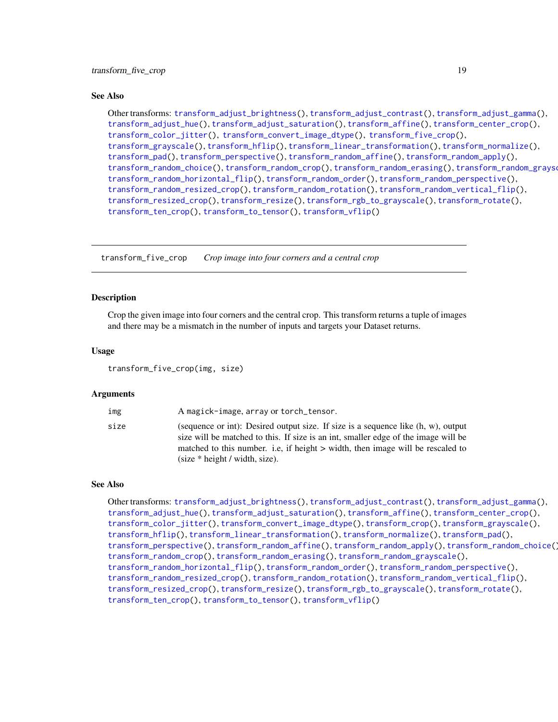#### <span id="page-18-0"></span>See Also

Other transforms: [transform\\_adjust\\_brightness\(](#page-9-1)), [transform\\_adjust\\_contrast\(](#page-10-1)), [transform\\_adjust\\_gamma\(](#page-11-1)), [transform\\_adjust\\_hue\(](#page-12-1)), [transform\\_adjust\\_saturation\(](#page-13-1)), [transform\\_affine\(](#page-13-2)), [transform\\_center\\_crop\(](#page-15-1)), [transform\\_color\\_jitter\(](#page-15-2)), [transform\\_convert\\_image\\_dtype\(](#page-16-1)), [transform\\_five\\_crop\(](#page-18-1)), [transform\\_grayscale\(](#page-19-1)), [transform\\_hflip\(](#page-19-2)), [transform\\_linear\\_transformation\(](#page-20-1)), [transform\\_normalize\(](#page-21-1)), [transform\\_pad\(](#page-22-1)), [transform\\_perspective\(](#page-23-1)), [transform\\_random\\_affine\(](#page-24-1)), [transform\\_random\\_apply\(](#page-25-1)), [transform\\_random\\_choice\(](#page-26-2)), [transform\\_random\\_crop\(](#page-26-1)), [transform\\_random\\_erasing\(](#page-28-1)), [transform\\_random\\_grayscale\(](#page-29-1)), [transform\\_random\\_horizontal\\_flip\(](#page-29-2)), [transform\\_random\\_order\(](#page-30-1)), [transform\\_random\\_perspective\(](#page-31-1)), [transform\\_random\\_resized\\_crop\(](#page-32-1)), [transform\\_random\\_rotation\(](#page-33-1)), [transform\\_random\\_vertical\\_flip\(](#page-34-1)), [transform\\_resized\\_crop\(](#page-35-1)), [transform\\_resize\(](#page-35-2)), [transform\\_rgb\\_to\\_grayscale\(](#page-36-1)), [transform\\_rotate\(](#page-37-1)), [transform\\_ten\\_crop\(](#page-38-1)), [transform\\_to\\_tensor\(](#page-39-1)), [transform\\_vflip\(](#page-39-2))

<span id="page-18-1"></span>transform\_five\_crop *Crop image into four corners and a central crop*

#### Description

Crop the given image into four corners and the central crop. This transform returns a tuple of images and there may be a mismatch in the number of inputs and targets your Dataset returns.

#### Usage

transform\_five\_crop(img, size)

#### Arguments

| img  | A magick-image, array or torch_tensor.                                                                                                                                                                                                                                                            |
|------|---------------------------------------------------------------------------------------------------------------------------------------------------------------------------------------------------------------------------------------------------------------------------------------------------|
| size | (sequence or int): Desired output size. If size is a sequence like $(h, w)$ , output<br>size will be matched to this. If size is an int, smaller edge of the image will be<br>matched to this number. i.e., if height > width, then image will be rescaled to<br>$(size * height / width, size).$ |

#### See Also

Other transforms: [transform\\_adjust\\_brightness\(](#page-9-1)), [transform\\_adjust\\_contrast\(](#page-10-1)), [transform\\_adjust\\_gamma\(](#page-11-1)), [transform\\_adjust\\_hue\(](#page-12-1)), [transform\\_adjust\\_saturation\(](#page-13-1)), [transform\\_affine\(](#page-13-2)), [transform\\_center\\_crop\(](#page-15-1)), [transform\\_color\\_jitter\(](#page-15-2)), [transform\\_convert\\_image\\_dtype\(](#page-16-1)), [transform\\_crop\(](#page-17-1)), [transform\\_grayscale\(](#page-19-1)), [transform\\_hflip\(](#page-19-2)), [transform\\_linear\\_transformation\(](#page-20-1)), [transform\\_normalize\(](#page-21-1)), [transform\\_pad\(](#page-22-1)), [transform\\_perspective\(](#page-23-1)), [transform\\_random\\_affine\(](#page-24-1)), [transform\\_random\\_apply\(](#page-25-1)), [transform\\_random\\_choice\(](#page-26-2)), [transform\\_random\\_crop\(](#page-26-1)), [transform\\_random\\_erasing\(](#page-28-1)), [transform\\_random\\_grayscale\(](#page-29-1)), [transform\\_random\\_horizontal\\_flip\(](#page-29-2)), [transform\\_random\\_order\(](#page-30-1)), [transform\\_random\\_perspective\(](#page-31-1)), [transform\\_random\\_resized\\_crop\(](#page-32-1)), [transform\\_random\\_rotation\(](#page-33-1)), [transform\\_random\\_vertical\\_flip\(](#page-34-1)), [transform\\_resized\\_crop\(](#page-35-1)), [transform\\_resize\(](#page-35-2)), [transform\\_rgb\\_to\\_grayscale\(](#page-36-1)), [transform\\_rotate\(](#page-37-1)), [transform\\_ten\\_crop\(](#page-38-1)), [transform\\_to\\_tensor\(](#page-39-1)), [transform\\_vflip\(](#page-39-2))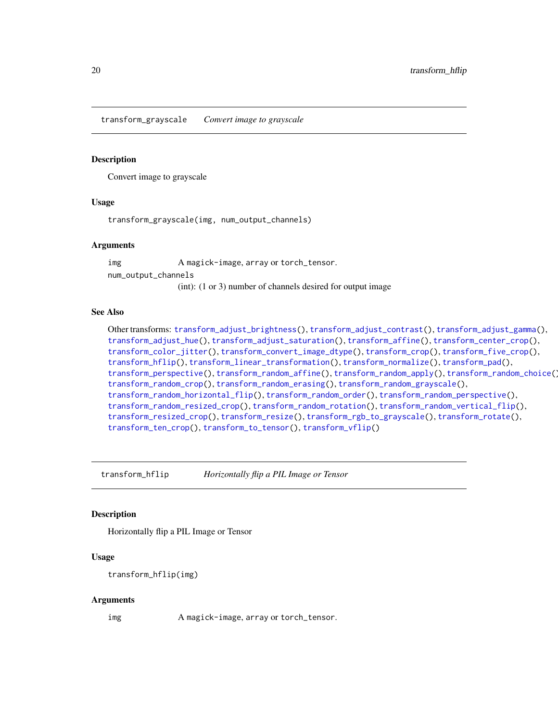<span id="page-19-1"></span><span id="page-19-0"></span>transform\_grayscale *Convert image to grayscale*

#### Description

Convert image to grayscale

#### Usage

transform\_grayscale(img, num\_output\_channels)

#### Arguments

img A magick-image, array or torch\_tensor. num\_output\_channels (int): (1 or 3) number of channels desired for output image

#### See Also

Other transforms: [transform\\_adjust\\_brightness\(](#page-9-1)), [transform\\_adjust\\_contrast\(](#page-10-1)), [transform\\_adjust\\_gamma\(](#page-11-1)), [transform\\_adjust\\_hue\(](#page-12-1)), [transform\\_adjust\\_saturation\(](#page-13-1)), [transform\\_affine\(](#page-13-2)), [transform\\_center\\_crop\(](#page-15-1)), [transform\\_color\\_jitter\(](#page-15-2)), [transform\\_convert\\_image\\_dtype\(](#page-16-1)), [transform\\_crop\(](#page-17-1)), [transform\\_five\\_crop\(](#page-18-1)), [transform\\_hflip\(](#page-19-2)), [transform\\_linear\\_transformation\(](#page-20-1)), [transform\\_normalize\(](#page-21-1)), [transform\\_pad\(](#page-22-1)), [transform\\_perspective\(](#page-23-1)), [transform\\_random\\_affine\(](#page-24-1)), [transform\\_random\\_apply\(](#page-25-1)), [transform\\_random\\_choice\(](#page-26-2)), [transform\\_random\\_crop\(](#page-26-1)), [transform\\_random\\_erasing\(](#page-28-1)), [transform\\_random\\_grayscale\(](#page-29-1)), [transform\\_random\\_horizontal\\_flip\(](#page-29-2)), [transform\\_random\\_order\(](#page-30-1)), [transform\\_random\\_perspective\(](#page-31-1)), [transform\\_random\\_resized\\_crop\(](#page-32-1)), [transform\\_random\\_rotation\(](#page-33-1)), [transform\\_random\\_vertical\\_flip\(](#page-34-1)), [transform\\_resized\\_crop\(](#page-35-1)), [transform\\_resize\(](#page-35-2)), [transform\\_rgb\\_to\\_grayscale\(](#page-36-1)), [transform\\_rotate\(](#page-37-1)), [transform\\_ten\\_crop\(](#page-38-1)), [transform\\_to\\_tensor\(](#page-39-1)), [transform\\_vflip\(](#page-39-2))

<span id="page-19-2"></span>transform\_hflip *Horizontally flip a PIL Image or Tensor*

#### Description

Horizontally flip a PIL Image or Tensor

#### Usage

```
transform_hflip(img)
```
#### Arguments

img A magick-image, array or torch\_tensor.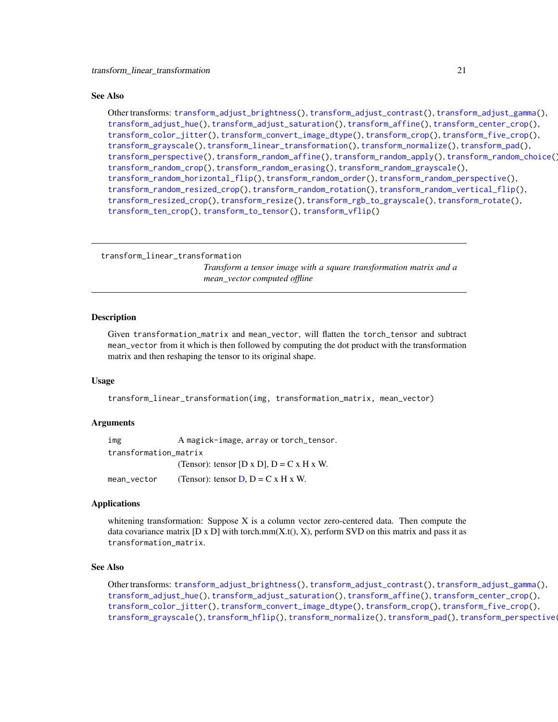#### <span id="page-20-0"></span>See Also

Other transforms: [transform\\_adjust\\_brightness\(](#page-9-1)), [transform\\_adjust\\_contrast\(](#page-10-1)), [transform\\_adjust\\_gamma\(](#page-11-1)), [transform\\_adjust\\_hue\(](#page-12-1)), [transform\\_adjust\\_saturation\(](#page-13-1)), [transform\\_affine\(](#page-13-2)), [transform\\_center\\_crop\(](#page-15-1)), [transform\\_color\\_jitter\(](#page-15-2)), [transform\\_convert\\_image\\_dtype\(](#page-16-1)), [transform\\_crop\(](#page-17-1)), [transform\\_five\\_crop\(](#page-18-1)), [transform\\_grayscale\(](#page-19-1)), [transform\\_linear\\_transformation\(](#page-20-1)), [transform\\_normalize\(](#page-21-1)), [transform\\_pad\(](#page-22-1)), [transform\\_perspective\(](#page-23-1)), [transform\\_random\\_affine\(](#page-24-1)), [transform\\_random\\_apply\(](#page-25-1)), [transform\\_random\\_choice\(](#page-26-2)), [transform\\_random\\_crop\(](#page-26-1)), [transform\\_random\\_erasing\(](#page-28-1)), [transform\\_random\\_grayscale\(](#page-29-1)), [transform\\_random\\_horizontal\\_flip\(](#page-29-2)), [transform\\_random\\_order\(](#page-30-1)), [transform\\_random\\_perspective\(](#page-31-1)), [transform\\_random\\_resized\\_crop\(](#page-32-1)), [transform\\_random\\_rotation\(](#page-33-1)), [transform\\_random\\_vertical\\_flip\(](#page-34-1)), [transform\\_resized\\_crop\(](#page-35-1)), [transform\\_resize\(](#page-35-2)), [transform\\_rgb\\_to\\_grayscale\(](#page-36-1)), [transform\\_rotate\(](#page-37-1)), [transform\\_ten\\_crop\(](#page-38-1)), [transform\\_to\\_tensor\(](#page-39-1)), [transform\\_vflip\(](#page-39-2))

<span id="page-20-1"></span>transform\_linear\_transformation

*Transform a tensor image with a square transformation matrix and a mean\_vector computed offline*

#### Description

Given transformation\_matrix and mean\_vector, will flatten the torch\_tensor and subtract mean\_vector from it which is then followed by computing the dot product with the transformation matrix and then reshaping the tensor to its original shape.

# Usage

transform\_linear\_transformation(img, transformation\_matrix, mean\_vector)

#### Arguments

img A magick-image, array or torch\_tensor. transformation\_matrix (Tensor): tensor [D x D],  $D = C x H x W$ . mean\_vector (Tensor): tensor  $D$ ,  $D = C x H x W$ .

#### Applications

whitening transformation: Suppose X is a column vector zero-centered data. Then compute the data covariance matrix  $[D \times D]$  with torch.mm $(X.t(), X)$ , perform SVD on this matrix and pass it as transformation\_matrix.

#### See Also

Other transforms: [transform\\_adjust\\_brightness\(](#page-9-1)), [transform\\_adjust\\_contrast\(](#page-10-1)), [transform\\_adjust\\_gamma\(](#page-11-1)), [transform\\_adjust\\_hue\(](#page-12-1)), [transform\\_adjust\\_saturation\(](#page-13-1)), [transform\\_affine\(](#page-13-2)), [transform\\_center\\_crop\(](#page-15-1)), [transform\\_color\\_jitter\(](#page-15-2)), [transform\\_convert\\_image\\_dtype\(](#page-16-1)), [transform\\_crop\(](#page-17-1)), [transform\\_five\\_crop\(](#page-18-1)), [transform\\_grayscale\(](#page-19-1)), [transform\\_hflip\(](#page-19-2)), [transform\\_normalize\(](#page-21-1)), [transform\\_pad\(](#page-22-1)), [transform\\_perspective\(](#page-23-1)),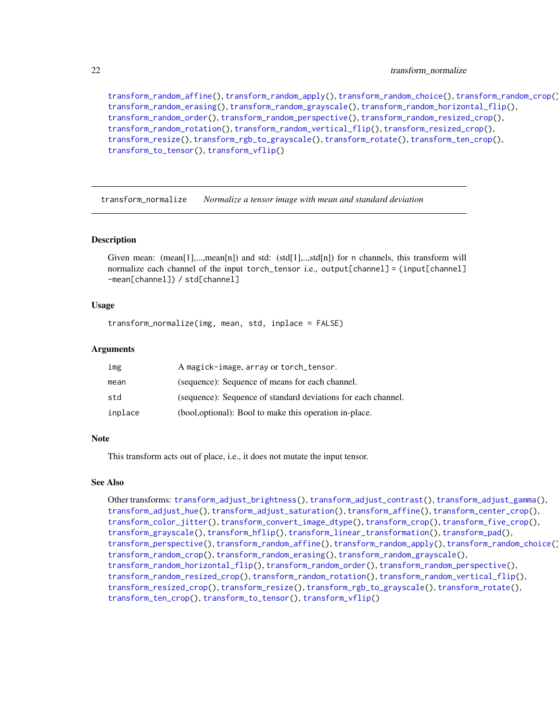<span id="page-21-0"></span>[transform\\_random\\_affine\(](#page-24-1)), [transform\\_random\\_apply\(](#page-25-1)), [transform\\_random\\_choice\(](#page-26-2)), [transform\\_random\\_crop\(](#page-26-1)), [transform\\_random\\_erasing\(](#page-28-1)), [transform\\_random\\_grayscale\(](#page-29-1)), [transform\\_random\\_horizontal\\_flip\(](#page-29-2)), [transform\\_random\\_order\(](#page-30-1)), [transform\\_random\\_perspective\(](#page-31-1)), [transform\\_random\\_resized\\_crop\(](#page-32-1)), [transform\\_random\\_rotation\(](#page-33-1)), [transform\\_random\\_vertical\\_flip\(](#page-34-1)), [transform\\_resized\\_crop\(](#page-35-1)), [transform\\_resize\(](#page-35-2)), [transform\\_rgb\\_to\\_grayscale\(](#page-36-1)), [transform\\_rotate\(](#page-37-1)), [transform\\_ten\\_crop\(](#page-38-1)), [transform\\_to\\_tensor\(](#page-39-1)), [transform\\_vflip\(](#page-39-2))

<span id="page-21-1"></span>transform\_normalize *Normalize a tensor image with mean and standard deviation*

#### Description

Given mean:  $(\text{mean}[1], \dots, \text{mean}[n])$  and std:  $(\text{std}[1], \dots, \text{std}[n])$  for n channels, this transform will normalize each channel of the input torch\_tensor i.e., output[channel] = (input[channel] -mean[channel]) / std[channel]

#### Usage

transform\_normalize(img, mean, std, inplace = FALSE)

#### Arguments

| img     | A magick-image, array or torch_tensor.                        |
|---------|---------------------------------------------------------------|
| mean    | (sequence): Sequence of means for each channel.               |
| std     | (sequence): Sequence of standard deviations for each channel. |
| inplace | (bool, optional): Bool to make this operation in-place.       |

#### Note

This transform acts out of place, i.e., it does not mutate the input tensor.

#### See Also

Other transforms: [transform\\_adjust\\_brightness\(](#page-9-1)), [transform\\_adjust\\_contrast\(](#page-10-1)), [transform\\_adjust\\_gamma\(](#page-11-1)), [transform\\_adjust\\_hue\(](#page-12-1)), [transform\\_adjust\\_saturation\(](#page-13-1)), [transform\\_affine\(](#page-13-2)), [transform\\_center\\_crop\(](#page-15-1)), [transform\\_color\\_jitter\(](#page-15-2)), [transform\\_convert\\_image\\_dtype\(](#page-16-1)), [transform\\_crop\(](#page-17-1)), [transform\\_five\\_crop\(](#page-18-1)), [transform\\_grayscale\(](#page-19-1)), [transform\\_hflip\(](#page-19-2)), [transform\\_linear\\_transformation\(](#page-20-1)), [transform\\_pad\(](#page-22-1)), [transform\\_perspective\(](#page-23-1)), [transform\\_random\\_affine\(](#page-24-1)), [transform\\_random\\_apply\(](#page-25-1)), [transform\\_random\\_choice\(](#page-26-2)), [transform\\_random\\_crop\(](#page-26-1)), [transform\\_random\\_erasing\(](#page-28-1)), [transform\\_random\\_grayscale\(](#page-29-1)), [transform\\_random\\_horizontal\\_flip\(](#page-29-2)), [transform\\_random\\_order\(](#page-30-1)), [transform\\_random\\_perspective\(](#page-31-1)), [transform\\_random\\_resized\\_crop\(](#page-32-1)), [transform\\_random\\_rotation\(](#page-33-1)), [transform\\_random\\_vertical\\_flip\(](#page-34-1)), [transform\\_resized\\_crop\(](#page-35-1)), [transform\\_resize\(](#page-35-2)), [transform\\_rgb\\_to\\_grayscale\(](#page-36-1)), [transform\\_rotate\(](#page-37-1)), [transform\\_ten\\_crop\(](#page-38-1)), [transform\\_to\\_tensor\(](#page-39-1)), [transform\\_vflip\(](#page-39-2))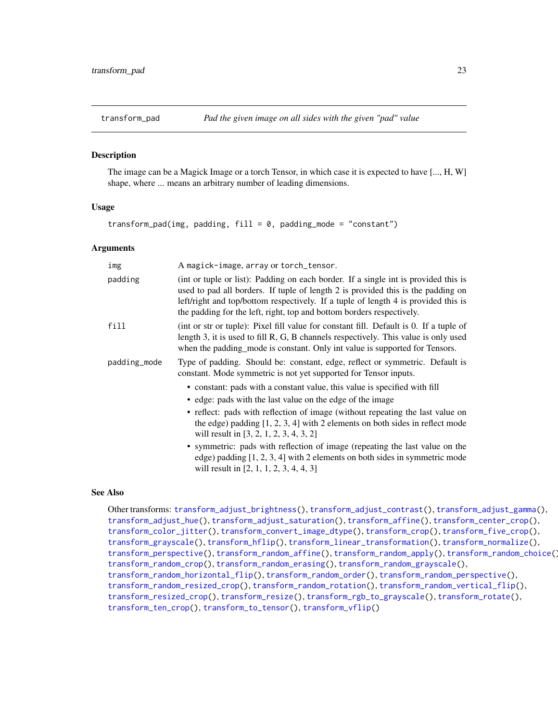<span id="page-22-1"></span><span id="page-22-0"></span>The image can be a Magick Image or a torch Tensor, in which case it is expected to have [..., H, W] shape, where ... means an arbitrary number of leading dimensions.

#### Usage

```
transform_pad(img, padding, fill = 0, padding_mode = "constant")
```
#### Arguments

| img          | A magick-image, array or torch_tensor.                                                                                                                                                                                                                                                                                                 |
|--------------|----------------------------------------------------------------------------------------------------------------------------------------------------------------------------------------------------------------------------------------------------------------------------------------------------------------------------------------|
| padding      | (int or tuple or list): Padding on each border. If a single int is provided this is<br>used to pad all borders. If tuple of length 2 is provided this is the padding on<br>left/right and top/bottom respectively. If a tuple of length 4 is provided this is<br>the padding for the left, right, top and bottom borders respectively. |
| fill         | (int or str or tuple): Pixel fill value for constant fill. Default is 0. If a tuple of<br>length 3, it is used to fill R, G, B channels respectively. This value is only used<br>when the padding_mode is constant. Only int value is supported for Tensors.                                                                           |
| padding_mode | Type of padding. Should be: constant, edge, reflect or symmetric. Default is<br>constant. Mode symmetric is not yet supported for Tensor inputs.                                                                                                                                                                                       |
|              | • constant: pads with a constant value, this value is specified with fill                                                                                                                                                                                                                                                              |
|              | • edge: pads with the last value on the edge of the image                                                                                                                                                                                                                                                                              |
|              | • reflect: pads with reflection of image (without repeating the last value on<br>the edge) padding $[1, 2, 3, 4]$ with 2 elements on both sides in reflect mode<br>will result in $[3, 2, 1, 2, 3, 4, 3, 2]$                                                                                                                           |
|              | • symmetric: pads with reflection of image (repeating the last value on the<br>edge) padding $[1, 2, 3, 4]$ with 2 elements on both sides in symmetric mode<br>will result in [2, 1, 1, 2, 3, 4, 4, 3]                                                                                                                                 |

# See Also

Other transforms: [transform\\_adjust\\_brightness\(](#page-9-1)), [transform\\_adjust\\_contrast\(](#page-10-1)), [transform\\_adjust\\_gamma\(](#page-11-1)), [transform\\_adjust\\_hue\(](#page-12-1)), [transform\\_adjust\\_saturation\(](#page-13-1)), [transform\\_affine\(](#page-13-2)), [transform\\_center\\_crop\(](#page-15-1)), [transform\\_color\\_jitter\(](#page-15-2)), [transform\\_convert\\_image\\_dtype\(](#page-16-1)), [transform\\_crop\(](#page-17-1)), [transform\\_five\\_crop\(](#page-18-1)), [transform\\_grayscale\(](#page-19-1)), [transform\\_hflip\(](#page-19-2)), [transform\\_linear\\_transformation\(](#page-20-1)), [transform\\_normalize\(](#page-21-1)), [transform\\_perspective\(](#page-23-1)), [transform\\_random\\_affine\(](#page-24-1)), [transform\\_random\\_apply\(](#page-25-1)), [transform\\_random\\_choice\(](#page-26-2)), [transform\\_random\\_crop\(](#page-26-1)), [transform\\_random\\_erasing\(](#page-28-1)), [transform\\_random\\_grayscale\(](#page-29-1)), [transform\\_random\\_horizontal\\_flip\(](#page-29-2)), [transform\\_random\\_order\(](#page-30-1)), [transform\\_random\\_perspective\(](#page-31-1)), [transform\\_random\\_resized\\_crop\(](#page-32-1)), [transform\\_random\\_rotation\(](#page-33-1)), [transform\\_random\\_vertical\\_flip\(](#page-34-1)), [transform\\_resized\\_crop\(](#page-35-1)), [transform\\_resize\(](#page-35-2)), [transform\\_rgb\\_to\\_grayscale\(](#page-36-1)), [transform\\_rotate\(](#page-37-1)), [transform\\_ten\\_crop\(](#page-38-1)), [transform\\_to\\_tensor\(](#page-39-1)), [transform\\_vflip\(](#page-39-2))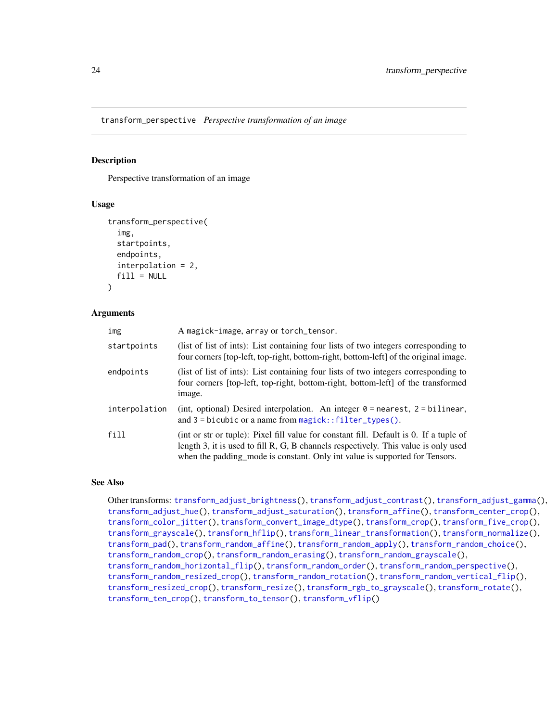<span id="page-23-1"></span><span id="page-23-0"></span>transform\_perspective *Perspective transformation of an image*

## **Description**

Perspective transformation of an image

#### Usage

```
transform_perspective(
  img,
  startpoints,
  endpoints,
  interpolation = 2,
  fill = NULL\lambda
```
#### Arguments

| img           | A magick-image, array or torch_tensor.                                                                                                                                                                                                                       |
|---------------|--------------------------------------------------------------------------------------------------------------------------------------------------------------------------------------------------------------------------------------------------------------|
| startpoints   | (list of list of ints): List containing four lists of two integers corresponding to<br>four corners [top-left, top-right, bottom-right, bottom-left] of the original image.                                                                                  |
| endpoints     | (list of list of ints): List containing four lists of two integers corresponding to<br>four corners [top-left, top-right, bottom-right, bottom-left] of the transformed<br>image.                                                                            |
| interpolation | (int, optional) Desired interpolation. An integer $\theta$ = nearest, 2 = bilinear,<br>and $3 =$ bicubic or a name from magick:: filter_types().                                                                                                             |
| fill          | (int or str or tuple): Pixel fill value for constant fill. Default is 0. If a tuple of<br>length 3, it is used to fill R, G, B channels respectively. This value is only used<br>when the padding mode is constant. Only int value is supported for Tensors. |

#### See Also

Other transforms: [transform\\_adjust\\_brightness\(](#page-9-1)), [transform\\_adjust\\_contrast\(](#page-10-1)), [transform\\_adjust\\_gamma\(](#page-11-1)), [transform\\_adjust\\_hue\(](#page-12-1)), [transform\\_adjust\\_saturation\(](#page-13-1)), [transform\\_affine\(](#page-13-2)), [transform\\_center\\_crop\(](#page-15-1)), [transform\\_color\\_jitter\(](#page-15-2)), [transform\\_convert\\_image\\_dtype\(](#page-16-1)), [transform\\_crop\(](#page-17-1)), [transform\\_five\\_crop\(](#page-18-1)), [transform\\_grayscale\(](#page-19-1)), [transform\\_hflip\(](#page-19-2)), [transform\\_linear\\_transformation\(](#page-20-1)), [transform\\_normalize\(](#page-21-1)), [transform\\_pad\(](#page-22-1)), [transform\\_random\\_affine\(](#page-24-1)), [transform\\_random\\_apply\(](#page-25-1)), [transform\\_random\\_choice\(](#page-26-2)), [transform\\_random\\_crop\(](#page-26-1)), [transform\\_random\\_erasing\(](#page-28-1)), [transform\\_random\\_grayscale\(](#page-29-1)), [transform\\_random\\_horizontal\\_flip\(](#page-29-2)), [transform\\_random\\_order\(](#page-30-1)), [transform\\_random\\_perspective\(](#page-31-1)), [transform\\_random\\_resized\\_crop\(](#page-32-1)), [transform\\_random\\_rotation\(](#page-33-1)), [transform\\_random\\_vertical\\_flip\(](#page-34-1)), [transform\\_resized\\_crop\(](#page-35-1)), [transform\\_resize\(](#page-35-2)), [transform\\_rgb\\_to\\_grayscale\(](#page-36-1)), [transform\\_rotate\(](#page-37-1)), [transform\\_ten\\_crop\(](#page-38-1)), [transform\\_to\\_tensor\(](#page-39-1)), [transform\\_vflip\(](#page-39-2))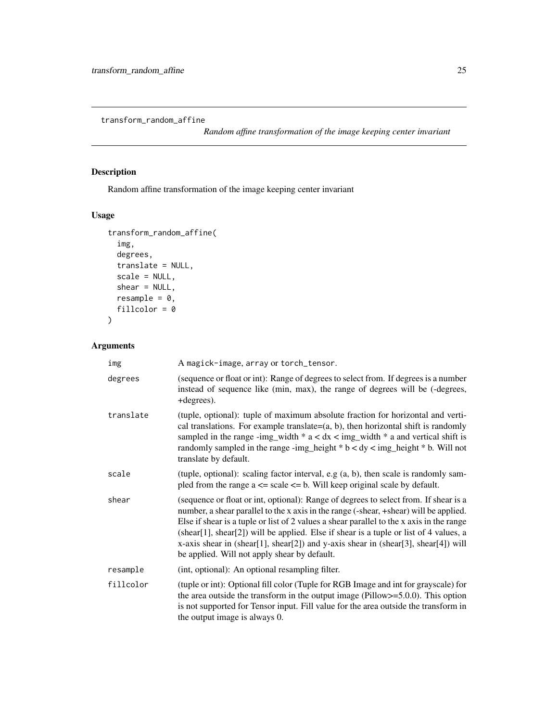<span id="page-24-1"></span><span id="page-24-0"></span>transform\_random\_affine

*Random affine transformation of the image keeping center invariant*

# Description

Random affine transformation of the image keeping center invariant

# Usage

```
transform_random_affine(
  img,
  degrees,
  translate = NULL,
  scale = NULL,
  shear = NULL,
  resample = 0,
  fillcolor = 0
\mathcal{L}
```

| img       | A magick-image, array or torch_tensor.                                                                                                                                                                                                                                                                                                                                                                                                                                                                   |
|-----------|----------------------------------------------------------------------------------------------------------------------------------------------------------------------------------------------------------------------------------------------------------------------------------------------------------------------------------------------------------------------------------------------------------------------------------------------------------------------------------------------------------|
| degrees   | (sequence or float or int): Range of degrees to select from. If degrees is a number<br>instead of sequence like (min, max), the range of degrees will be (-degrees,<br>+degrees).                                                                                                                                                                                                                                                                                                                        |
| translate | (tuple, optional): tuple of maximum absolute fraction for horizontal and verti-<br>cal translations. For example translate= $(a, b)$ , then horizontal shift is randomly<br>sampled in the range -img_width $* a < dx <$ img_width $* a$ and vertical shift is<br>randomly sampled in the range -img_height $*$ b < dy < img_height $*$ b. Will not<br>translate by default.                                                                                                                             |
| scale     | (tuple, optional): scaling factor interval, e.g $(a, b)$ , then scale is randomly sam-<br>pled from the range $a \leq$ scale $\leq$ b. Will keep original scale by default.                                                                                                                                                                                                                                                                                                                              |
| shear     | (sequence or float or int, optional): Range of degrees to select from. If shear is a<br>number, a shear parallel to the x axis in the range (-shear, +shear) will be applied.<br>Else if shear is a tuple or list of 2 values a shear parallel to the x axis in the range<br>(shear[1], shear[2]) will be applied. Else if shear is a tuple or list of 4 values, a<br>x-axis shear in (shear[1], shear[2]) and y-axis shear in (shear[3], shear[4]) will<br>be applied. Will not apply shear by default. |
| resample  | (int, optional): An optional resampling filter.                                                                                                                                                                                                                                                                                                                                                                                                                                                          |
| fillcolor | (tuple or int): Optional fill color (Tuple for RGB Image and int for grayscale) for<br>the area outside the transform in the output image (Pillow $>=$ 5.0.0). This option<br>is not supported for Tensor input. Fill value for the area outside the transform in<br>the output image is always 0.                                                                                                                                                                                                       |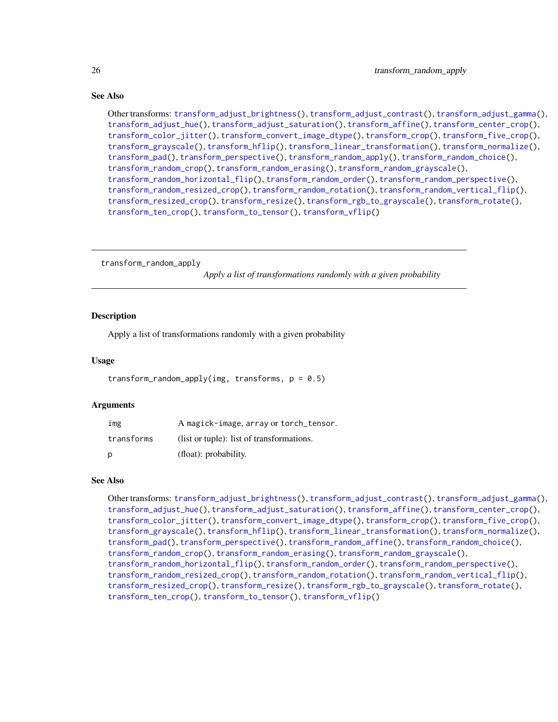#### See Also

Other transforms: [transform\\_adjust\\_brightness\(](#page-9-1)), [transform\\_adjust\\_contrast\(](#page-10-1)), [transform\\_adjust\\_gamma\(](#page-11-1)), [transform\\_adjust\\_hue\(](#page-12-1)), [transform\\_adjust\\_saturation\(](#page-13-1)), [transform\\_affine\(](#page-13-2)), [transform\\_center\\_crop\(](#page-15-1)), [transform\\_color\\_jitter\(](#page-15-2)), [transform\\_convert\\_image\\_dtype\(](#page-16-1)), [transform\\_crop\(](#page-17-1)), [transform\\_five\\_crop\(](#page-18-1)), [transform\\_grayscale\(](#page-19-1)), [transform\\_hflip\(](#page-19-2)), [transform\\_linear\\_transformation\(](#page-20-1)), [transform\\_normalize\(](#page-21-1)), [transform\\_pad\(](#page-22-1)), [transform\\_perspective\(](#page-23-1)), [transform\\_random\\_apply\(](#page-25-1)), [transform\\_random\\_choice\(](#page-26-2)), [transform\\_random\\_crop\(](#page-26-1)), [transform\\_random\\_erasing\(](#page-28-1)), [transform\\_random\\_grayscale\(](#page-29-1)), [transform\\_random\\_horizontal\\_flip\(](#page-29-2)), [transform\\_random\\_order\(](#page-30-1)), [transform\\_random\\_perspective\(](#page-31-1)), [transform\\_random\\_resized\\_crop\(](#page-32-1)), [transform\\_random\\_rotation\(](#page-33-1)), [transform\\_random\\_vertical\\_flip\(](#page-34-1)), [transform\\_resized\\_crop\(](#page-35-1)), [transform\\_resize\(](#page-35-2)), [transform\\_rgb\\_to\\_grayscale\(](#page-36-1)), [transform\\_rotate\(](#page-37-1)), [transform\\_ten\\_crop\(](#page-38-1)), [transform\\_to\\_tensor\(](#page-39-1)), [transform\\_vflip\(](#page-39-2))

<span id="page-25-1"></span>transform\_random\_apply

*Apply a list of transformations randomly with a given probability*

#### Description

Apply a list of transformations randomly with a given probability

#### Usage

transform\_random\_apply(img, transforms,  $p = 0.5$ )

#### Arguments

| img        | A magick-image, array or torch_tensor.    |
|------------|-------------------------------------------|
| transforms | (list or tuple): list of transformations. |
| p          | (float): probability.                     |

#### See Also

Other transforms: [transform\\_adjust\\_brightness\(](#page-9-1)), [transform\\_adjust\\_contrast\(](#page-10-1)), [transform\\_adjust\\_gamma\(](#page-11-1)), [transform\\_adjust\\_hue\(](#page-12-1)), [transform\\_adjust\\_saturation\(](#page-13-1)), [transform\\_affine\(](#page-13-2)), [transform\\_center\\_crop\(](#page-15-1)), [transform\\_color\\_jitter\(](#page-15-2)), [transform\\_convert\\_image\\_dtype\(](#page-16-1)), [transform\\_crop\(](#page-17-1)), [transform\\_five\\_crop\(](#page-18-1)), [transform\\_grayscale\(](#page-19-1)), [transform\\_hflip\(](#page-19-2)), [transform\\_linear\\_transformation\(](#page-20-1)), [transform\\_normalize\(](#page-21-1)), [transform\\_pad\(](#page-22-1)), [transform\\_perspective\(](#page-23-1)), [transform\\_random\\_affine\(](#page-24-1)), [transform\\_random\\_choice\(](#page-26-2)), [transform\\_random\\_crop\(](#page-26-1)), [transform\\_random\\_erasing\(](#page-28-1)), [transform\\_random\\_grayscale\(](#page-29-1)), [transform\\_random\\_horizontal\\_flip\(](#page-29-2)), [transform\\_random\\_order\(](#page-30-1)), [transform\\_random\\_perspective\(](#page-31-1)), [transform\\_random\\_resized\\_crop\(](#page-32-1)), [transform\\_random\\_rotation\(](#page-33-1)), [transform\\_random\\_vertical\\_flip\(](#page-34-1)), [transform\\_resized\\_crop\(](#page-35-1)), [transform\\_resize\(](#page-35-2)), [transform\\_rgb\\_to\\_grayscale\(](#page-36-1)), [transform\\_rotate\(](#page-37-1)), [transform\\_ten\\_crop\(](#page-38-1)), [transform\\_to\\_tensor\(](#page-39-1)), [transform\\_vflip\(](#page-39-2))

<span id="page-25-0"></span>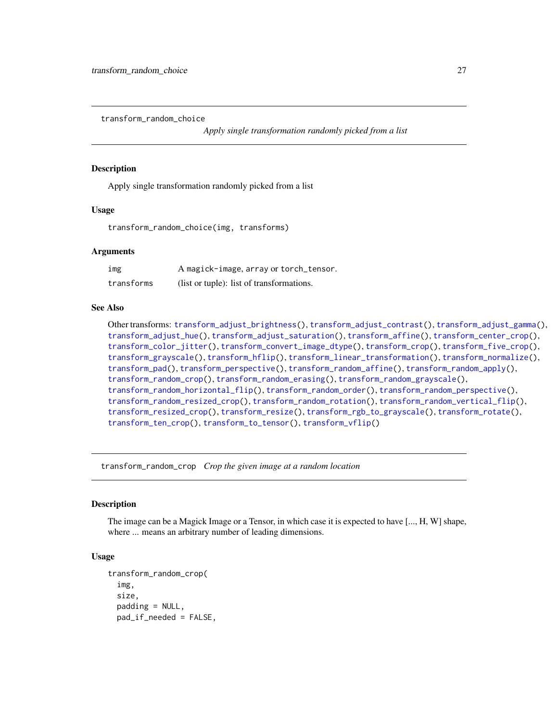<span id="page-26-2"></span><span id="page-26-0"></span>transform\_random\_choice

*Apply single transformation randomly picked from a list*

#### **Description**

Apply single transformation randomly picked from a list

#### Usage

transform\_random\_choice(img, transforms)

#### Arguments

| img        | A magick-image, array or torch_tensor.    |
|------------|-------------------------------------------|
| transforms | (list or tuple): list of transformations. |

#### See Also

Other transforms: [transform\\_adjust\\_brightness\(](#page-9-1)), [transform\\_adjust\\_contrast\(](#page-10-1)), [transform\\_adjust\\_gamma\(](#page-11-1)), [transform\\_adjust\\_hue\(](#page-12-1)), [transform\\_adjust\\_saturation\(](#page-13-1)), [transform\\_affine\(](#page-13-2)), [transform\\_center\\_crop\(](#page-15-1)), [transform\\_color\\_jitter\(](#page-15-2)), [transform\\_convert\\_image\\_dtype\(](#page-16-1)), [transform\\_crop\(](#page-17-1)), [transform\\_five\\_crop\(](#page-18-1)), [transform\\_grayscale\(](#page-19-1)), [transform\\_hflip\(](#page-19-2)), [transform\\_linear\\_transformation\(](#page-20-1)), [transform\\_normalize\(](#page-21-1)), [transform\\_pad\(](#page-22-1)), [transform\\_perspective\(](#page-23-1)), [transform\\_random\\_affine\(](#page-24-1)), [transform\\_random\\_apply\(](#page-25-1)), [transform\\_random\\_crop\(](#page-26-1)), [transform\\_random\\_erasing\(](#page-28-1)), [transform\\_random\\_grayscale\(](#page-29-1)), [transform\\_random\\_horizontal\\_flip\(](#page-29-2)), [transform\\_random\\_order\(](#page-30-1)), [transform\\_random\\_perspective\(](#page-31-1)), [transform\\_random\\_resized\\_crop\(](#page-32-1)), [transform\\_random\\_rotation\(](#page-33-1)), [transform\\_random\\_vertical\\_flip\(](#page-34-1)), [transform\\_resized\\_crop\(](#page-35-1)), [transform\\_resize\(](#page-35-2)), [transform\\_rgb\\_to\\_grayscale\(](#page-36-1)), [transform\\_rotate\(](#page-37-1)), [transform\\_ten\\_crop\(](#page-38-1)), [transform\\_to\\_tensor\(](#page-39-1)), [transform\\_vflip\(](#page-39-2))

<span id="page-26-1"></span>transform\_random\_crop *Crop the given image at a random location*

#### **Description**

The image can be a Magick Image or a Tensor, in which case it is expected to have [..., H, W] shape, where ... means an arbitrary number of leading dimensions.

#### Usage

```
transform_random_crop(
  img,
  size,
  padding = NULL,
  pad_if_needed = FALSE,
```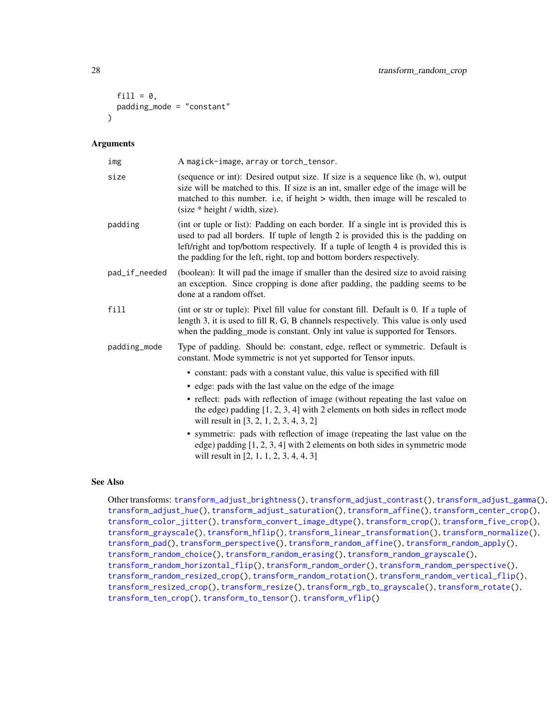```
fill = 0,padding_mode = "constant"
\lambda
```
#### Arguments

| A magick-image, array or torch_tensor.                                                                                                                                                                                                                                                                                                 |
|----------------------------------------------------------------------------------------------------------------------------------------------------------------------------------------------------------------------------------------------------------------------------------------------------------------------------------------|
| (sequence or int): Desired output size. If size is a sequence like (h, w), output<br>size will be matched to this. If size is an int, smaller edge of the image will be<br>matched to this number. i.e, if height > width, then image will be rescaled to<br>(size * height / width, size).                                            |
| (int or tuple or list): Padding on each border. If a single int is provided this is<br>used to pad all borders. If tuple of length 2 is provided this is the padding on<br>left/right and top/bottom respectively. If a tuple of length 4 is provided this is<br>the padding for the left, right, top and bottom borders respectively. |
| (boolean): It will pad the image if smaller than the desired size to avoid raising<br>an exception. Since cropping is done after padding, the padding seems to be<br>done at a random offset.                                                                                                                                          |
| (int or str or tuple): Pixel fill value for constant fill. Default is 0. If a tuple of<br>length 3, it is used to fill R, G, B channels respectively. This value is only used<br>when the padding_mode is constant. Only int value is supported for Tensors.                                                                           |
| Type of padding. Should be: constant, edge, reflect or symmetric. Default is<br>constant. Mode symmetric is not yet supported for Tensor inputs.                                                                                                                                                                                       |
| • constant: pads with a constant value, this value is specified with fill                                                                                                                                                                                                                                                              |
| • edge: pads with the last value on the edge of the image                                                                                                                                                                                                                                                                              |
| • reflect: pads with reflection of image (without repeating the last value on<br>the edge) padding $[1, 2, 3, 4]$ with 2 elements on both sides in reflect mode<br>will result in [3, 2, 1, 2, 3, 4, 3, 2]                                                                                                                             |
| • symmetric: pads with reflection of image (repeating the last value on the<br>edge) padding $[1, 2, 3, 4]$ with 2 elements on both sides in symmetric mode<br>will result in $[2, 1, 1, 2, 3, 4, 4, 3]$                                                                                                                               |
|                                                                                                                                                                                                                                                                                                                                        |

## See Also

Other transforms: [transform\\_adjust\\_brightness\(](#page-9-1)), [transform\\_adjust\\_contrast\(](#page-10-1)), [transform\\_adjust\\_gamma\(](#page-11-1)), [transform\\_adjust\\_hue\(](#page-12-1)), [transform\\_adjust\\_saturation\(](#page-13-1)), [transform\\_affine\(](#page-13-2)), [transform\\_center\\_crop\(](#page-15-1)), [transform\\_color\\_jitter\(](#page-15-2)), [transform\\_convert\\_image\\_dtype\(](#page-16-1)), [transform\\_crop\(](#page-17-1)), [transform\\_five\\_crop\(](#page-18-1)), [transform\\_grayscale\(](#page-19-1)), [transform\\_hflip\(](#page-19-2)), [transform\\_linear\\_transformation\(](#page-20-1)), [transform\\_normalize\(](#page-21-1)), [transform\\_pad\(](#page-22-1)), [transform\\_perspective\(](#page-23-1)), [transform\\_random\\_affine\(](#page-24-1)), [transform\\_random\\_apply\(](#page-25-1)), [transform\\_random\\_choice\(](#page-26-2)), [transform\\_random\\_erasing\(](#page-28-1)), [transform\\_random\\_grayscale\(](#page-29-1)), [transform\\_random\\_horizontal\\_flip\(](#page-29-2)), [transform\\_random\\_order\(](#page-30-1)), [transform\\_random\\_perspective\(](#page-31-1)), [transform\\_random\\_resized\\_crop\(](#page-32-1)), [transform\\_random\\_rotation\(](#page-33-1)), [transform\\_random\\_vertical\\_flip\(](#page-34-1)), [transform\\_resized\\_crop\(](#page-35-1)), [transform\\_resize\(](#page-35-2)), [transform\\_rgb\\_to\\_grayscale\(](#page-36-1)), [transform\\_rotate\(](#page-37-1)), [transform\\_ten\\_crop\(](#page-38-1)), [transform\\_to\\_tensor\(](#page-39-1)), [transform\\_vflip\(](#page-39-2))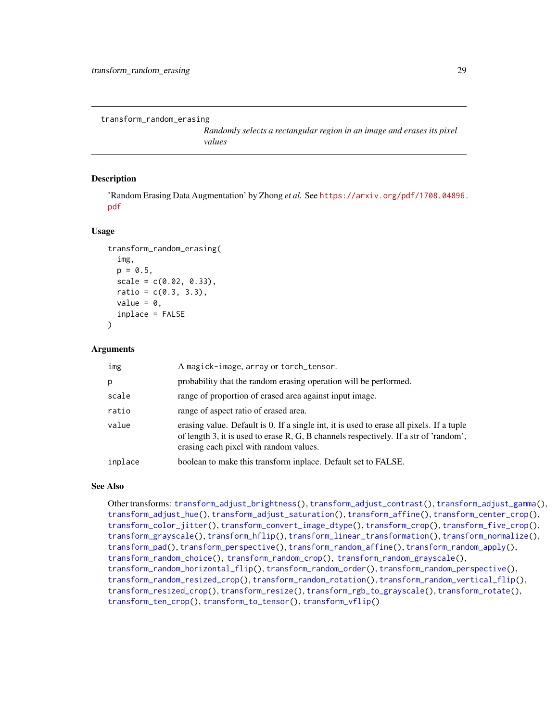<span id="page-28-1"></span><span id="page-28-0"></span>transform\_random\_erasing

*Randomly selects a rectangular region in an image and erases its pixel values*

#### Description

'Random Erasing Data Augmentation' by Zhong *et al.* See [https://arxiv.org/pdf/1708.04896.](https://arxiv.org/pdf/1708.04896.pdf) [pdf](https://arxiv.org/pdf/1708.04896.pdf)

#### Usage

```
transform_random_erasing(
  img,
  p = 0.5,
  scale = c(0.02, 0.33),
  ratio = c(0.3, 3.3),value = \theta.
  inplace = FALSE
\lambda
```
#### Arguments

| img     | A magick-image, array or torch_tensor.                                                                                                                                                                                      |
|---------|-----------------------------------------------------------------------------------------------------------------------------------------------------------------------------------------------------------------------------|
| р       | probability that the random erasing operation will be performed.                                                                                                                                                            |
| scale   | range of proportion of erased area against input image.                                                                                                                                                                     |
| ratio   | range of aspect ratio of erased area.                                                                                                                                                                                       |
| value   | erasing value. Default is 0. If a single int, it is used to erase all pixels. If a tuple<br>of length 3, it is used to erase R, G, B channels respectively. If a str of 'random',<br>erasing each pixel with random values. |
| inplace | boolean to make this transform inplace. Default set to FALSE.                                                                                                                                                               |

#### See Also

Other transforms: [transform\\_adjust\\_brightness\(](#page-9-1)), [transform\\_adjust\\_contrast\(](#page-10-1)), [transform\\_adjust\\_gamma\(](#page-11-1)), [transform\\_adjust\\_hue\(](#page-12-1)), [transform\\_adjust\\_saturation\(](#page-13-1)), [transform\\_affine\(](#page-13-2)), [transform\\_center\\_crop\(](#page-15-1)), [transform\\_color\\_jitter\(](#page-15-2)), [transform\\_convert\\_image\\_dtype\(](#page-16-1)), [transform\\_crop\(](#page-17-1)), [transform\\_five\\_crop\(](#page-18-1)), [transform\\_grayscale\(](#page-19-1)), [transform\\_hflip\(](#page-19-2)), [transform\\_linear\\_transformation\(](#page-20-1)), [transform\\_normalize\(](#page-21-1)), [transform\\_pad\(](#page-22-1)), [transform\\_perspective\(](#page-23-1)), [transform\\_random\\_affine\(](#page-24-1)), [transform\\_random\\_apply\(](#page-25-1)), [transform\\_random\\_choice\(](#page-26-2)), [transform\\_random\\_crop\(](#page-26-1)), [transform\\_random\\_grayscale\(](#page-29-1)), [transform\\_random\\_horizontal\\_flip\(](#page-29-2)), [transform\\_random\\_order\(](#page-30-1)), [transform\\_random\\_perspective\(](#page-31-1)), [transform\\_random\\_resized\\_crop\(](#page-32-1)), [transform\\_random\\_rotation\(](#page-33-1)), [transform\\_random\\_vertical\\_flip\(](#page-34-1)), [transform\\_resized\\_crop\(](#page-35-1)), [transform\\_resize\(](#page-35-2)), [transform\\_rgb\\_to\\_grayscale\(](#page-36-1)), [transform\\_rotate\(](#page-37-1)), [transform\\_ten\\_crop\(](#page-38-1)), [transform\\_to\\_tensor\(](#page-39-1)), [transform\\_vflip\(](#page-39-2))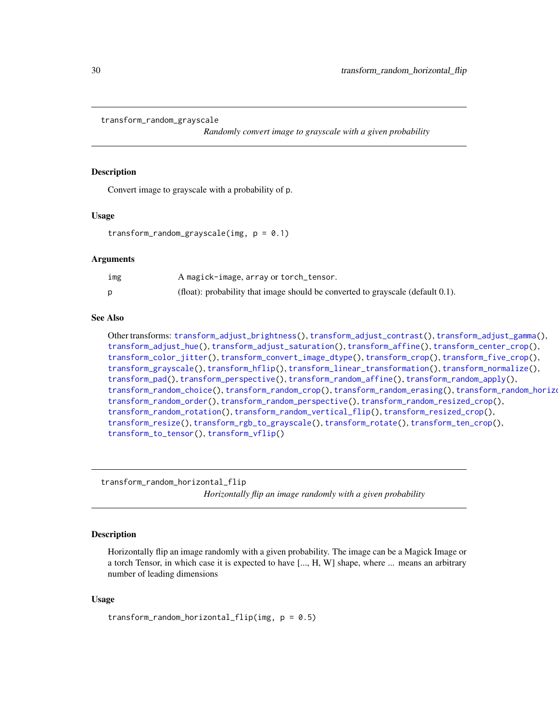```
transform_random_grayscale
```
*Randomly convert image to grayscale with a given probability*

#### Description

Convert image to grayscale with a probability of p.

#### Usage

```
transform_random_grayscale(img, p = 0.1)
```
#### Arguments

| ımg | A magick-image, array or torch_tensor.                                             |
|-----|------------------------------------------------------------------------------------|
|     | (float): probability that image should be converted to grayscale (default $0.1$ ). |

#### See Also

Other transforms: [transform\\_adjust\\_brightness\(](#page-9-1)), [transform\\_adjust\\_contrast\(](#page-10-1)), [transform\\_adjust\\_gamma\(](#page-11-1)), [transform\\_adjust\\_hue\(](#page-12-1)), [transform\\_adjust\\_saturation\(](#page-13-1)), [transform\\_affine\(](#page-13-2)), [transform\\_center\\_crop\(](#page-15-1)), [transform\\_color\\_jitter\(](#page-15-2)), [transform\\_convert\\_image\\_dtype\(](#page-16-1)), [transform\\_crop\(](#page-17-1)), [transform\\_five\\_crop\(](#page-18-1)), [transform\\_grayscale\(](#page-19-1)), [transform\\_hflip\(](#page-19-2)), [transform\\_linear\\_transformation\(](#page-20-1)), [transform\\_normalize\(](#page-21-1)), [transform\\_pad\(](#page-22-1)), [transform\\_perspective\(](#page-23-1)), [transform\\_random\\_affine\(](#page-24-1)), [transform\\_random\\_apply\(](#page-25-1)), [transform\\_random\\_choice\(](#page-26-2)), [transform\\_random\\_crop\(](#page-26-1)), [transform\\_random\\_erasing\(](#page-28-1)), transform\_random\_horizontal [transform\\_random\\_order\(](#page-30-1)), [transform\\_random\\_perspective\(](#page-31-1)), [transform\\_random\\_resized\\_crop\(](#page-32-1)), [transform\\_random\\_rotation\(](#page-33-1)), [transform\\_random\\_vertical\\_flip\(](#page-34-1)), [transform\\_resized\\_crop\(](#page-35-1)), [transform\\_resize\(](#page-35-2)), [transform\\_rgb\\_to\\_grayscale\(](#page-36-1)), [transform\\_rotate\(](#page-37-1)), [transform\\_ten\\_crop\(](#page-38-1)), [transform\\_to\\_tensor\(](#page-39-1)), [transform\\_vflip\(](#page-39-2))

<span id="page-29-2"></span>transform\_random\_horizontal\_flip *Horizontally flip an image randomly with a given probability*

### Description

Horizontally flip an image randomly with a given probability. The image can be a Magick Image or a torch Tensor, in which case it is expected to have [..., H, W] shape, where ... means an arbitrary number of leading dimensions

#### Usage

```
transform\_random\_horizontal\_flip(img, p = 0.5)
```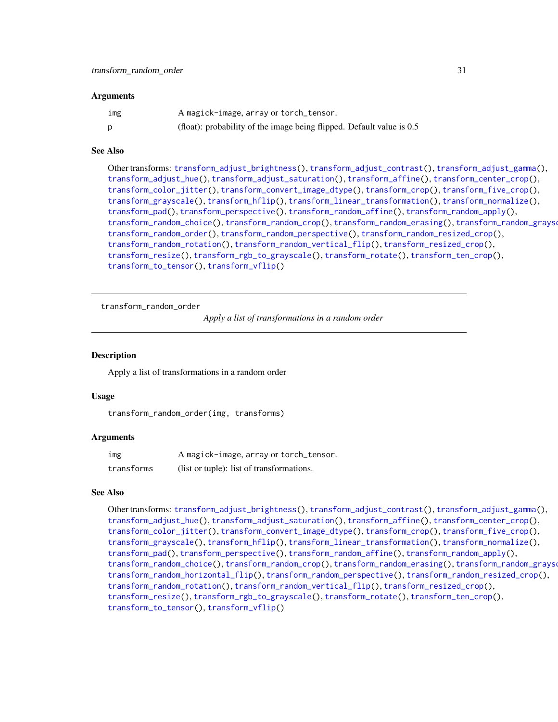#### <span id="page-30-0"></span>Arguments

| img | A magick-image, array or torch_tensor.                                  |
|-----|-------------------------------------------------------------------------|
| D   | (float): probability of the image being flipped. Default value is $0.5$ |

#### See Also

Other transforms: [transform\\_adjust\\_brightness\(](#page-9-1)), [transform\\_adjust\\_contrast\(](#page-10-1)), [transform\\_adjust\\_gamma\(](#page-11-1)), [transform\\_adjust\\_hue\(](#page-12-1)), [transform\\_adjust\\_saturation\(](#page-13-1)), [transform\\_affine\(](#page-13-2)), [transform\\_center\\_crop\(](#page-15-1)), [transform\\_color\\_jitter\(](#page-15-2)), [transform\\_convert\\_image\\_dtype\(](#page-16-1)), [transform\\_crop\(](#page-17-1)), [transform\\_five\\_crop\(](#page-18-1)), [transform\\_grayscale\(](#page-19-1)), [transform\\_hflip\(](#page-19-2)), [transform\\_linear\\_transformation\(](#page-20-1)), [transform\\_normalize\(](#page-21-1)), [transform\\_pad\(](#page-22-1)), [transform\\_perspective\(](#page-23-1)), [transform\\_random\\_affine\(](#page-24-1)), [transform\\_random\\_apply\(](#page-25-1)), [transform\\_random\\_choice\(](#page-26-2)), [transform\\_random\\_crop\(](#page-26-1)), [transform\\_random\\_erasing\(](#page-28-1)), [transform\\_random\\_grayscale\(](#page-29-1)), [transform\\_random\\_order\(](#page-30-1)), [transform\\_random\\_perspective\(](#page-31-1)), [transform\\_random\\_resized\\_crop\(](#page-32-1)), [transform\\_random\\_rotation\(](#page-33-1)), [transform\\_random\\_vertical\\_flip\(](#page-34-1)), [transform\\_resized\\_crop\(](#page-35-1)), [transform\\_resize\(](#page-35-2)), [transform\\_rgb\\_to\\_grayscale\(](#page-36-1)), [transform\\_rotate\(](#page-37-1)), [transform\\_ten\\_crop\(](#page-38-1)), [transform\\_to\\_tensor\(](#page-39-1)), [transform\\_vflip\(](#page-39-2))

<span id="page-30-1"></span>transform\_random\_order

*Apply a list of transformations in a random order*

#### **Description**

Apply a list of transformations in a random order

#### Usage

transform\_random\_order(img, transforms)

#### Arguments

| img        | A magick-image, array or torch_tensor.    |
|------------|-------------------------------------------|
| transforms | (list or tuple): list of transformations. |

#### See Also

Other transforms: [transform\\_adjust\\_brightness\(](#page-9-1)), [transform\\_adjust\\_contrast\(](#page-10-1)), [transform\\_adjust\\_gamma\(](#page-11-1)), [transform\\_adjust\\_hue\(](#page-12-1)), [transform\\_adjust\\_saturation\(](#page-13-1)), [transform\\_affine\(](#page-13-2)), [transform\\_center\\_crop\(](#page-15-1)), [transform\\_color\\_jitter\(](#page-15-2)), [transform\\_convert\\_image\\_dtype\(](#page-16-1)), [transform\\_crop\(](#page-17-1)), [transform\\_five\\_crop\(](#page-18-1)), [transform\\_grayscale\(](#page-19-1)), [transform\\_hflip\(](#page-19-2)), [transform\\_linear\\_transformation\(](#page-20-1)), [transform\\_normalize\(](#page-21-1)), [transform\\_pad\(](#page-22-1)), [transform\\_perspective\(](#page-23-1)), [transform\\_random\\_affine\(](#page-24-1)), [transform\\_random\\_apply\(](#page-25-1)), [transform\\_random\\_choice\(](#page-26-2)), [transform\\_random\\_crop\(](#page-26-1)), [transform\\_random\\_erasing\(](#page-28-1)), [transform\\_random\\_grayscale\(](#page-29-1)), [transform\\_random\\_horizontal\\_flip\(](#page-29-2)), [transform\\_random\\_perspective\(](#page-31-1)), [transform\\_random\\_resized\\_crop\(](#page-32-1)), [transform\\_random\\_rotation\(](#page-33-1)), [transform\\_random\\_vertical\\_flip\(](#page-34-1)), [transform\\_resized\\_crop\(](#page-35-1)), [transform\\_resize\(](#page-35-2)), [transform\\_rgb\\_to\\_grayscale\(](#page-36-1)), [transform\\_rotate\(](#page-37-1)), [transform\\_ten\\_crop\(](#page-38-1)), [transform\\_to\\_tensor\(](#page-39-1)), [transform\\_vflip\(](#page-39-2))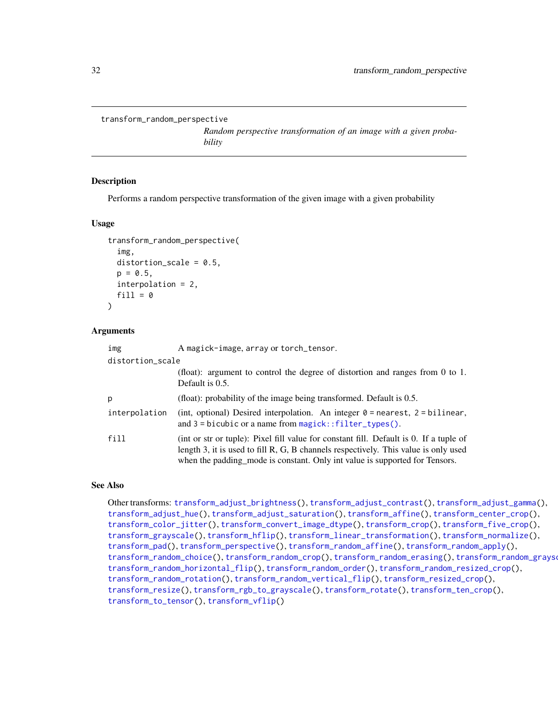```
transform_random_perspective
```
*Random perspective transformation of an image with a given probability*

## Description

Performs a random perspective transformation of the given image with a given probability

#### Usage

```
transform_random_perspective(
  img,
  distortion_scale = 0.5,
  p = 0.5,
  interpolation = 2,
  fill = <math>\emptyset</math>\lambda
```
#### Arguments

| img              | A magick-image, array or torch_tensor.                                                                                                                                                                                                                       |
|------------------|--------------------------------------------------------------------------------------------------------------------------------------------------------------------------------------------------------------------------------------------------------------|
| distortion_scale |                                                                                                                                                                                                                                                              |
|                  | (float): argument to control the degree of distortion and ranges from $0$ to $1$ .<br>Default is $0.5$ .                                                                                                                                                     |
| р                | (float): probability of the image being transformed. Default is $0.5$ .                                                                                                                                                                                      |
| interpolation    | (int, optional) Desired interpolation. An integer $0 =$ nearest, $2 =$ bilinear,<br>and $3 =$ bicubic or a name from magick:: filter_types().                                                                                                                |
| fill             | (int or str or tuple): Pixel fill value for constant fill. Default is 0. If a tuple of<br>length 3, it is used to fill R, G, B channels respectively. This value is only used<br>when the padding mode is constant. Only int value is supported for Tensors. |

#### See Also

Other transforms: [transform\\_adjust\\_brightness\(](#page-9-1)), [transform\\_adjust\\_contrast\(](#page-10-1)), [transform\\_adjust\\_gamma\(](#page-11-1)), [transform\\_adjust\\_hue\(](#page-12-1)), [transform\\_adjust\\_saturation\(](#page-13-1)), [transform\\_affine\(](#page-13-2)), [transform\\_center\\_crop\(](#page-15-1)), [transform\\_color\\_jitter\(](#page-15-2)), [transform\\_convert\\_image\\_dtype\(](#page-16-1)), [transform\\_crop\(](#page-17-1)), [transform\\_five\\_crop\(](#page-18-1)), [transform\\_grayscale\(](#page-19-1)), [transform\\_hflip\(](#page-19-2)), [transform\\_linear\\_transformation\(](#page-20-1)), [transform\\_normalize\(](#page-21-1)), [transform\\_pad\(](#page-22-1)), [transform\\_perspective\(](#page-23-1)), [transform\\_random\\_affine\(](#page-24-1)), [transform\\_random\\_apply\(](#page-25-1)), [transform\\_random\\_choice\(](#page-26-2)), [transform\\_random\\_crop\(](#page-26-1)), [transform\\_random\\_erasing\(](#page-28-1)), [transform\\_random\\_grayscale\(](#page-29-1)), [transform\\_random\\_horizontal\\_flip\(](#page-29-2)), [transform\\_random\\_order\(](#page-30-1)), [transform\\_random\\_resized\\_crop\(](#page-32-1)), [transform\\_random\\_rotation\(](#page-33-1)), [transform\\_random\\_vertical\\_flip\(](#page-34-1)), [transform\\_resized\\_crop\(](#page-35-1)), [transform\\_resize\(](#page-35-2)), [transform\\_rgb\\_to\\_grayscale\(](#page-36-1)), [transform\\_rotate\(](#page-37-1)), [transform\\_ten\\_crop\(](#page-38-1)), [transform\\_to\\_tensor\(](#page-39-1)), [transform\\_vflip\(](#page-39-2))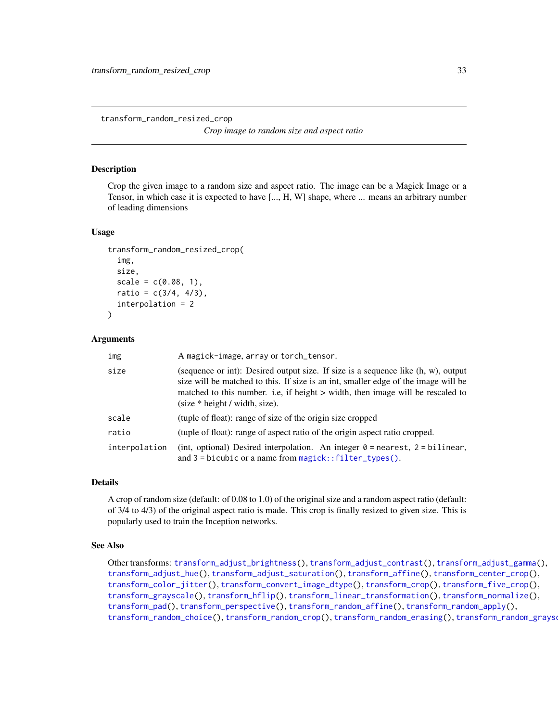<span id="page-32-1"></span><span id="page-32-0"></span>transform\_random\_resized\_crop

*Crop image to random size and aspect ratio*

#### Description

Crop the given image to a random size and aspect ratio. The image can be a Magick Image or a Tensor, in which case it is expected to have [..., H, W] shape, where ... means an arbitrary number of leading dimensions

# Usage

```
transform_random_resized_crop(
  img,
  size,
  scale = c(0.08, 1),ratio = c(3/4, 4/3),interpolation = 2
)
```
#### Arguments

| img           | A magick-image, array or torch_tensor.                                                                                                                                                                                                                                                            |
|---------------|---------------------------------------------------------------------------------------------------------------------------------------------------------------------------------------------------------------------------------------------------------------------------------------------------|
| size          | (sequence or int): Desired output size. If size is a sequence like $(h, w)$ , output<br>size will be matched to this. If size is an int, smaller edge of the image will be<br>matched to this number. i.e., if height > width, then image will be rescaled to<br>$(size * height / width, size).$ |
| scale         | (tuple of float): range of size of the origin size cropped                                                                                                                                                                                                                                        |
| ratio         | (tuple of float): range of aspect ratio of the origin aspect ratio cropped.                                                                                                                                                                                                                       |
| interpolation | (int, optional) Desired interpolation. An integer $\theta$ = nearest, 2 = bilinear,<br>and $3 = bicubic$ or a name from magick::filter_types().                                                                                                                                                   |

# Details

A crop of random size (default: of 0.08 to 1.0) of the original size and a random aspect ratio (default: of 3/4 to 4/3) of the original aspect ratio is made. This crop is finally resized to given size. This is popularly used to train the Inception networks.

#### See Also

Other transforms: [transform\\_adjust\\_brightness\(](#page-9-1)), [transform\\_adjust\\_contrast\(](#page-10-1)), [transform\\_adjust\\_gamma\(](#page-11-1)), [transform\\_adjust\\_hue\(](#page-12-1)), [transform\\_adjust\\_saturation\(](#page-13-1)), [transform\\_affine\(](#page-13-2)), [transform\\_center\\_crop\(](#page-15-1)), [transform\\_color\\_jitter\(](#page-15-2)), [transform\\_convert\\_image\\_dtype\(](#page-16-1)), [transform\\_crop\(](#page-17-1)), [transform\\_five\\_crop\(](#page-18-1)), [transform\\_grayscale\(](#page-19-1)), [transform\\_hflip\(](#page-19-2)), [transform\\_linear\\_transformation\(](#page-20-1)), [transform\\_normalize\(](#page-21-1)), [transform\\_pad\(](#page-22-1)), [transform\\_perspective\(](#page-23-1)), [transform\\_random\\_affine\(](#page-24-1)), [transform\\_random\\_apply\(](#page-25-1)), [transform\\_random\\_choice\(](#page-26-2)), [transform\\_random\\_crop\(](#page-26-1)), [transform\\_random\\_erasing\(](#page-28-1)), [transform\\_random\\_grayscale\(](#page-29-1)),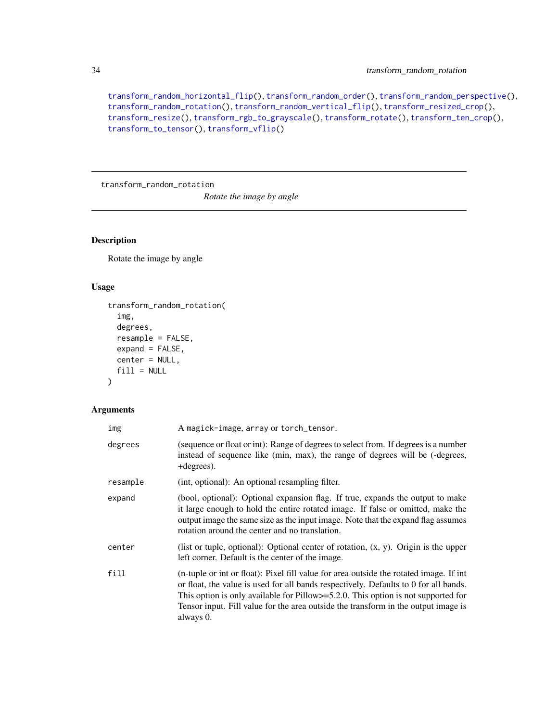<span id="page-33-0"></span>[transform\\_random\\_horizontal\\_flip\(](#page-29-2)), [transform\\_random\\_order\(](#page-30-1)), [transform\\_random\\_perspective\(](#page-31-1)), [transform\\_random\\_rotation\(](#page-33-1)), [transform\\_random\\_vertical\\_flip\(](#page-34-1)), [transform\\_resized\\_crop\(](#page-35-1)), [transform\\_resize\(](#page-35-2)), [transform\\_rgb\\_to\\_grayscale\(](#page-36-1)), [transform\\_rotate\(](#page-37-1)), [transform\\_ten\\_crop\(](#page-38-1)), [transform\\_to\\_tensor\(](#page-39-1)), [transform\\_vflip\(](#page-39-2))

<span id="page-33-1"></span>transform\_random\_rotation

*Rotate the image by angle*

# Description

Rotate the image by angle

# Usage

```
transform_random_rotation(
  img,
  degrees,
  resample = FALSE,
  expand = FALSE,center = NULL,
  fill = NULL\mathcal{L}
```

| img      | A magick-image, array or torch_tensor.                                                                                                                                                                                                                                                                                                                                     |
|----------|----------------------------------------------------------------------------------------------------------------------------------------------------------------------------------------------------------------------------------------------------------------------------------------------------------------------------------------------------------------------------|
| degrees  | (sequence or float or int): Range of degrees to select from. If degrees is a number<br>instead of sequence like (min, max), the range of degrees will be (-degrees,<br>+degrees).                                                                                                                                                                                          |
| resample | (int, optional): An optional resampling filter.                                                                                                                                                                                                                                                                                                                            |
| expand   | (bool, optional): Optional expansion flag. If true, expands the output to make<br>it large enough to hold the entire rotated image. If false or omitted, make the<br>output image the same size as the input image. Note that the expand flag assumes<br>rotation around the center and no translation.                                                                    |
| center   | (list or tuple, optional): Optional center of rotation, $(x, y)$ . Origin is the upper<br>left corner. Default is the center of the image.                                                                                                                                                                                                                                 |
| fill     | (n-tuple or int or float): Pixel fill value for area outside the rotated image. If int<br>or float, the value is used for all bands respectively. Defaults to 0 for all bands.<br>This option is only available for Pillow $>=$ 5.2.0. This option is not supported for<br>Tensor input. Fill value for the area outside the transform in the output image is<br>always 0. |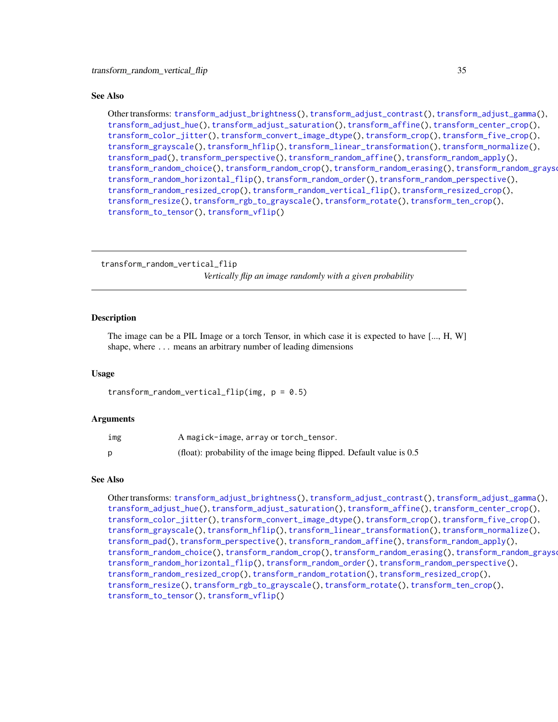#### <span id="page-34-0"></span>See Also

Other transforms: [transform\\_adjust\\_brightness\(](#page-9-1)), [transform\\_adjust\\_contrast\(](#page-10-1)), [transform\\_adjust\\_gamma\(](#page-11-1)), [transform\\_adjust\\_hue\(](#page-12-1)), [transform\\_adjust\\_saturation\(](#page-13-1)), [transform\\_affine\(](#page-13-2)), [transform\\_center\\_crop\(](#page-15-1)), [transform\\_color\\_jitter\(](#page-15-2)), [transform\\_convert\\_image\\_dtype\(](#page-16-1)), [transform\\_crop\(](#page-17-1)), [transform\\_five\\_crop\(](#page-18-1)), [transform\\_grayscale\(](#page-19-1)), [transform\\_hflip\(](#page-19-2)), [transform\\_linear\\_transformation\(](#page-20-1)), [transform\\_normalize\(](#page-21-1)), [transform\\_pad\(](#page-22-1)), [transform\\_perspective\(](#page-23-1)), [transform\\_random\\_affine\(](#page-24-1)), [transform\\_random\\_apply\(](#page-25-1)), [transform\\_random\\_choice\(](#page-26-2)), [transform\\_random\\_crop\(](#page-26-1)), [transform\\_random\\_erasing\(](#page-28-1)), [transform\\_random\\_grayscale\(](#page-29-1)), [transform\\_random\\_horizontal\\_flip\(](#page-29-2)), [transform\\_random\\_order\(](#page-30-1)), [transform\\_random\\_perspective\(](#page-31-1)), [transform\\_random\\_resized\\_crop\(](#page-32-1)), [transform\\_random\\_vertical\\_flip\(](#page-34-1)), [transform\\_resized\\_crop\(](#page-35-1)), [transform\\_resize\(](#page-35-2)), [transform\\_rgb\\_to\\_grayscale\(](#page-36-1)), [transform\\_rotate\(](#page-37-1)), [transform\\_ten\\_crop\(](#page-38-1)), [transform\\_to\\_tensor\(](#page-39-1)), [transform\\_vflip\(](#page-39-2))

<span id="page-34-1"></span>transform\_random\_vertical\_flip *Vertically flip an image randomly with a given probability*

#### **Description**

The image can be a PIL Image or a torch Tensor, in which case it is expected to have [..., H, W] shape, where ... means an arbitrary number of leading dimensions

#### Usage

transform\_random\_vertical\_flip(img,  $p = 0.5$ )

#### Arguments

| ımg | A magick-image, array or torch_tensor.                                  |
|-----|-------------------------------------------------------------------------|
|     | (float): probability of the image being flipped. Default value is $0.5$ |

## See Also

Other transforms: [transform\\_adjust\\_brightness\(](#page-9-1)), [transform\\_adjust\\_contrast\(](#page-10-1)), [transform\\_adjust\\_gamma\(](#page-11-1)), [transform\\_adjust\\_hue\(](#page-12-1)), [transform\\_adjust\\_saturation\(](#page-13-1)), [transform\\_affine\(](#page-13-2)), [transform\\_center\\_crop\(](#page-15-1)), [transform\\_color\\_jitter\(](#page-15-2)), [transform\\_convert\\_image\\_dtype\(](#page-16-1)), [transform\\_crop\(](#page-17-1)), [transform\\_five\\_crop\(](#page-18-1)), [transform\\_grayscale\(](#page-19-1)), [transform\\_hflip\(](#page-19-2)), [transform\\_linear\\_transformation\(](#page-20-1)), [transform\\_normalize\(](#page-21-1)), [transform\\_pad\(](#page-22-1)), [transform\\_perspective\(](#page-23-1)), [transform\\_random\\_affine\(](#page-24-1)), [transform\\_random\\_apply\(](#page-25-1)), [transform\\_random\\_choice\(](#page-26-2)), [transform\\_random\\_crop\(](#page-26-1)), [transform\\_random\\_erasing\(](#page-28-1)), [transform\\_random\\_grayscale\(](#page-29-1)), [transform\\_random\\_horizontal\\_flip\(](#page-29-2)), [transform\\_random\\_order\(](#page-30-1)), [transform\\_random\\_perspective\(](#page-31-1)), [transform\\_random\\_resized\\_crop\(](#page-32-1)), [transform\\_random\\_rotation\(](#page-33-1)), [transform\\_resized\\_crop\(](#page-35-1)), [transform\\_resize\(](#page-35-2)), [transform\\_rgb\\_to\\_grayscale\(](#page-36-1)), [transform\\_rotate\(](#page-37-1)), [transform\\_ten\\_crop\(](#page-38-1)), [transform\\_to\\_tensor\(](#page-39-1)), [transform\\_vflip\(](#page-39-2))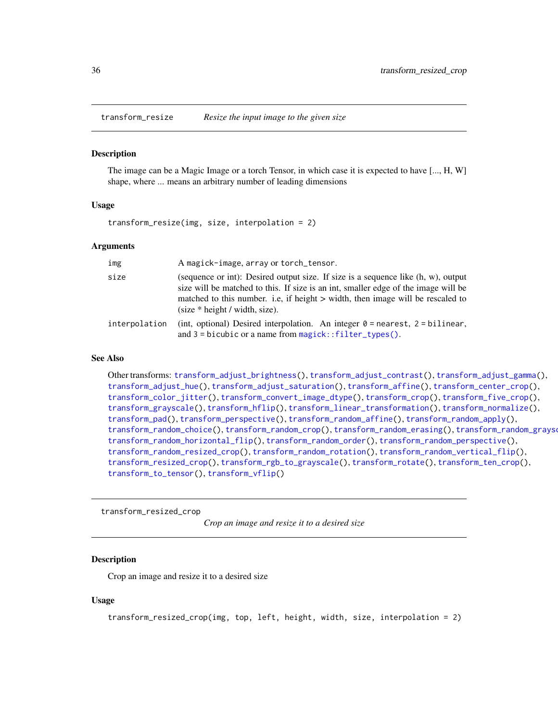<span id="page-35-2"></span><span id="page-35-0"></span>

The image can be a Magic Image or a torch Tensor, in which case it is expected to have [..., H, W] shape, where ... means an arbitrary number of leading dimensions

#### Usage

transform\_resize(img, size, interpolation = 2)

#### **Arguments**

| img           | A magick-image, array or torch_tensor.                                                                                                                                                                                                                                                                                        |
|---------------|-------------------------------------------------------------------------------------------------------------------------------------------------------------------------------------------------------------------------------------------------------------------------------------------------------------------------------|
| size          | (sequence or int): Desired output size. If size is a sequence like $(h, w)$ , output<br>size will be matched to this. If size is an int, smaller edge of the image will be<br>matched to this number. i.e, if height > width, then image will be rescaled to<br>$\text{(size} * \text{height} / \text{width}, \text{size})$ . |
| interpolation | (int, optional) Desired interpolation. An integer $\theta$ = nearest, 2 = bilinear,<br>and $3 =$ bicubic or a name from $magic$ ; $filter_type$ s().                                                                                                                                                                          |

#### See Also

Other transforms: [transform\\_adjust\\_brightness\(](#page-9-1)), [transform\\_adjust\\_contrast\(](#page-10-1)), [transform\\_adjust\\_gamma\(](#page-11-1)), [transform\\_adjust\\_hue\(](#page-12-1)), [transform\\_adjust\\_saturation\(](#page-13-1)), [transform\\_affine\(](#page-13-2)), [transform\\_center\\_crop\(](#page-15-1)), [transform\\_color\\_jitter\(](#page-15-2)), [transform\\_convert\\_image\\_dtype\(](#page-16-1)), [transform\\_crop\(](#page-17-1)), [transform\\_five\\_crop\(](#page-18-1)), [transform\\_grayscale\(](#page-19-1)), [transform\\_hflip\(](#page-19-2)), [transform\\_linear\\_transformation\(](#page-20-1)), [transform\\_normalize\(](#page-21-1)), [transform\\_pad\(](#page-22-1)), [transform\\_perspective\(](#page-23-1)), [transform\\_random\\_affine\(](#page-24-1)), [transform\\_random\\_apply\(](#page-25-1)), [transform\\_random\\_choice\(](#page-26-2)), [transform\\_random\\_crop\(](#page-26-1)), [transform\\_random\\_erasing\(](#page-28-1)), [transform\\_random\\_grayscale\(](#page-29-1)), [transform\\_random\\_horizontal\\_flip\(](#page-29-2)), [transform\\_random\\_order\(](#page-30-1)), [transform\\_random\\_perspective\(](#page-31-1)), [transform\\_random\\_resized\\_crop\(](#page-32-1)), [transform\\_random\\_rotation\(](#page-33-1)), [transform\\_random\\_vertical\\_flip\(](#page-34-1)), [transform\\_resized\\_crop\(](#page-35-1)), [transform\\_rgb\\_to\\_grayscale\(](#page-36-1)), [transform\\_rotate\(](#page-37-1)), [transform\\_ten\\_crop\(](#page-38-1)), [transform\\_to\\_tensor\(](#page-39-1)), [transform\\_vflip\(](#page-39-2))

<span id="page-35-1"></span>transform\_resized\_crop

*Crop an image and resize it to a desired size*

## Description

Crop an image and resize it to a desired size

#### Usage

transform\_resized\_crop(img, top, left, height, width, size, interpolation = 2)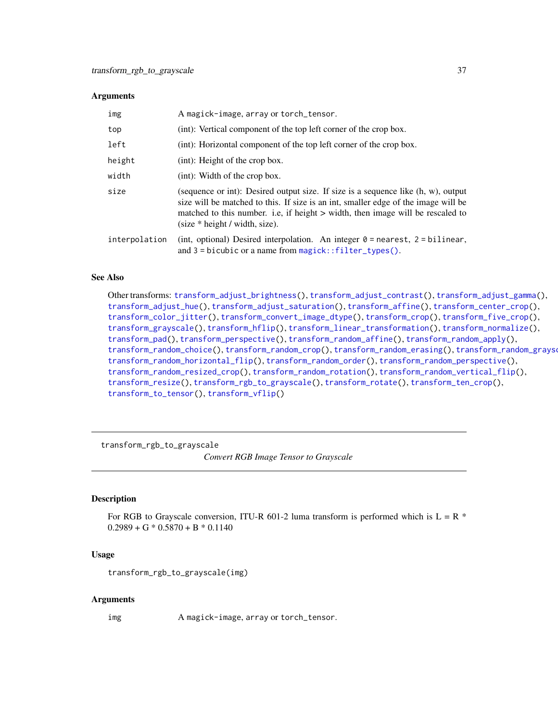#### <span id="page-36-0"></span>**Arguments**

| img           | A magick-image, array or torch_tensor.                                                                                                                                                                                                                                                                                         |  |
|---------------|--------------------------------------------------------------------------------------------------------------------------------------------------------------------------------------------------------------------------------------------------------------------------------------------------------------------------------|--|
| top           | (int): Vertical component of the top left corner of the crop box.                                                                                                                                                                                                                                                              |  |
| left          | (int): Horizontal component of the top left corner of the crop box.                                                                                                                                                                                                                                                            |  |
| height        | (int): Height of the crop box.                                                                                                                                                                                                                                                                                                 |  |
| width         | $(int)$ : Width of the crop box.                                                                                                                                                                                                                                                                                               |  |
| size          | (sequence or int): Desired output size. If size is a sequence like $(h, w)$ , output<br>size will be matched to this. If size is an int, smaller edge of the image will be<br>matched to this number. i.e., if height > width, then image will be rescaled to<br>$\text{(size} * \text{height} / \text{width}, \text{size})$ . |  |
| interpolation | (int, optional) Desired interpolation. An integer $0 =$ nearest, $2 =$ bilinear,<br>and $3 =$ bicubic or a name from magick:: filter_types().                                                                                                                                                                                  |  |

# See Also

Other transforms: [transform\\_adjust\\_brightness\(](#page-9-1)), [transform\\_adjust\\_contrast\(](#page-10-1)), [transform\\_adjust\\_gamma\(](#page-11-1)), [transform\\_adjust\\_hue\(](#page-12-1)), [transform\\_adjust\\_saturation\(](#page-13-1)), [transform\\_affine\(](#page-13-2)), [transform\\_center\\_crop\(](#page-15-1)), [transform\\_color\\_jitter\(](#page-15-2)), [transform\\_convert\\_image\\_dtype\(](#page-16-1)), [transform\\_crop\(](#page-17-1)), [transform\\_five\\_crop\(](#page-18-1)), [transform\\_grayscale\(](#page-19-1)), [transform\\_hflip\(](#page-19-2)), [transform\\_linear\\_transformation\(](#page-20-1)), [transform\\_normalize\(](#page-21-1)), [transform\\_pad\(](#page-22-1)), [transform\\_perspective\(](#page-23-1)), [transform\\_random\\_affine\(](#page-24-1)), [transform\\_random\\_apply\(](#page-25-1)), [transform\\_random\\_choice\(](#page-26-2)), [transform\\_random\\_crop\(](#page-26-1)), [transform\\_random\\_erasing\(](#page-28-1)), [transform\\_random\\_grayscale\(](#page-29-1)), [transform\\_random\\_horizontal\\_flip\(](#page-29-2)), [transform\\_random\\_order\(](#page-30-1)), [transform\\_random\\_perspective\(](#page-31-1)), [transform\\_random\\_resized\\_crop\(](#page-32-1)), [transform\\_random\\_rotation\(](#page-33-1)), [transform\\_random\\_vertical\\_flip\(](#page-34-1)), [transform\\_resize\(](#page-35-2)), [transform\\_rgb\\_to\\_grayscale\(](#page-36-1)), [transform\\_rotate\(](#page-37-1)), [transform\\_ten\\_crop\(](#page-38-1)), [transform\\_to\\_tensor\(](#page-39-1)), [transform\\_vflip\(](#page-39-2))

<span id="page-36-1"></span>transform\_rgb\_to\_grayscale

*Convert RGB Image Tensor to Grayscale*

#### Description

For RGB to Grayscale conversion, ITU-R 601-2 luma transform is performed which is  $L = R$  \*  $0.2989 + G * 0.5870 + B * 0.1140$ 

#### Usage

```
transform_rgb_to_grayscale(img)
```
#### Arguments

img A magick-image, array or torch\_tensor.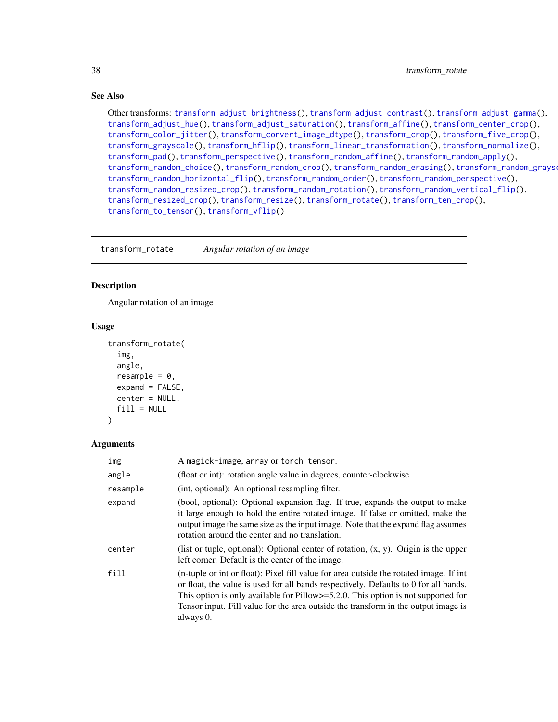## <span id="page-37-0"></span>See Also

Other transforms: [transform\\_adjust\\_brightness\(](#page-9-1)), [transform\\_adjust\\_contrast\(](#page-10-1)), [transform\\_adjust\\_gamma\(](#page-11-1)), [transform\\_adjust\\_hue\(](#page-12-1)), [transform\\_adjust\\_saturation\(](#page-13-1)), [transform\\_affine\(](#page-13-2)), [transform\\_center\\_crop\(](#page-15-1)), [transform\\_color\\_jitter\(](#page-15-2)), [transform\\_convert\\_image\\_dtype\(](#page-16-1)), [transform\\_crop\(](#page-17-1)), [transform\\_five\\_crop\(](#page-18-1)), [transform\\_grayscale\(](#page-19-1)), [transform\\_hflip\(](#page-19-2)), [transform\\_linear\\_transformation\(](#page-20-1)), [transform\\_normalize\(](#page-21-1)), [transform\\_pad\(](#page-22-1)), [transform\\_perspective\(](#page-23-1)), [transform\\_random\\_affine\(](#page-24-1)), [transform\\_random\\_apply\(](#page-25-1)), [transform\\_random\\_choice\(](#page-26-2)), [transform\\_random\\_crop\(](#page-26-1)), [transform\\_random\\_erasing\(](#page-28-1)), [transform\\_random\\_grayscale\(](#page-29-1)), [transform\\_random\\_horizontal\\_flip\(](#page-29-2)), [transform\\_random\\_order\(](#page-30-1)), [transform\\_random\\_perspective\(](#page-31-1)), [transform\\_random\\_resized\\_crop\(](#page-32-1)), [transform\\_random\\_rotation\(](#page-33-1)), [transform\\_random\\_vertical\\_flip\(](#page-34-1)), [transform\\_resized\\_crop\(](#page-35-1)), [transform\\_resize\(](#page-35-2)), [transform\\_rotate\(](#page-37-1)), [transform\\_ten\\_crop\(](#page-38-1)), [transform\\_to\\_tensor\(](#page-39-1)), [transform\\_vflip\(](#page-39-2))

<span id="page-37-1"></span>transform\_rotate *Angular rotation of an image*

# **Description**

Angular rotation of an image

#### Usage

```
transform_rotate(
  img,
  angle,
  resample = 0,
 expand = FALSE,center = NULL,
  fill = NULL)
```

```
Arguments
```

| img      | A magick-image, array or torch_tensor.                                                                                                                                                                                                                                                                                                                                       |  |
|----------|------------------------------------------------------------------------------------------------------------------------------------------------------------------------------------------------------------------------------------------------------------------------------------------------------------------------------------------------------------------------------|--|
| angle    | (float or int): rotation angle value in degrees, counter-clockwise.                                                                                                                                                                                                                                                                                                          |  |
| resample | (int, optional): An optional resampling filter.                                                                                                                                                                                                                                                                                                                              |  |
| expand   | (bool, optional): Optional expansion flag. If true, expands the output to make<br>it large enough to hold the entire rotated image. If false or omitted, make the<br>output image the same size as the input image. Note that the expand flag assumes<br>rotation around the center and no translation.                                                                      |  |
| center   | (list or tuple, optional): Optional center of rotation, $(x, y)$ . Origin is the upper<br>left corner. Default is the center of the image.                                                                                                                                                                                                                                   |  |
| fill     | (n-tuple or int or float): Pixel fill value for area outside the rotated image. If int<br>or float, the value is used for all bands respectively. Defaults to 0 for all bands.<br>This option is only available for Pillow $\ge$ =5.2.0. This option is not supported for<br>Tensor input. Fill value for the area outside the transform in the output image is<br>always 0. |  |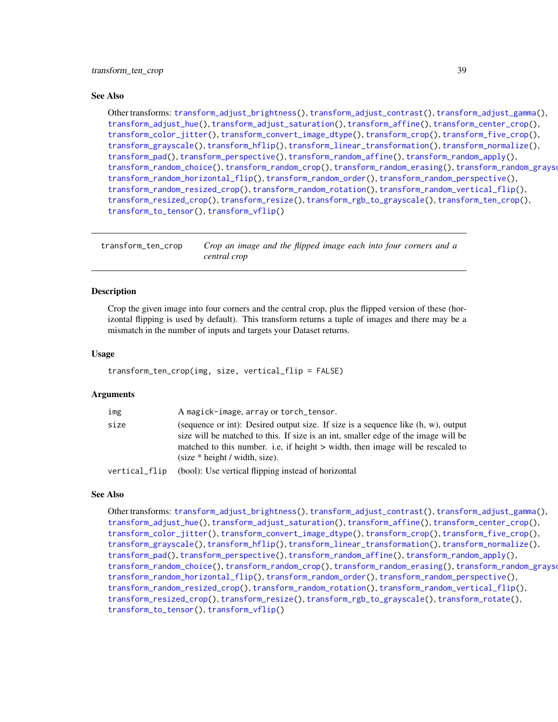#### <span id="page-38-0"></span>See Also

Other transforms: [transform\\_adjust\\_brightness\(](#page-9-1)), [transform\\_adjust\\_contrast\(](#page-10-1)), [transform\\_adjust\\_gamma\(](#page-11-1)), [transform\\_adjust\\_hue\(](#page-12-1)), [transform\\_adjust\\_saturation\(](#page-13-1)), [transform\\_affine\(](#page-13-2)), [transform\\_center\\_crop\(](#page-15-1)), [transform\\_color\\_jitter\(](#page-15-2)), [transform\\_convert\\_image\\_dtype\(](#page-16-1)), [transform\\_crop\(](#page-17-1)), [transform\\_five\\_crop\(](#page-18-1)), [transform\\_grayscale\(](#page-19-1)), [transform\\_hflip\(](#page-19-2)), [transform\\_linear\\_transformation\(](#page-20-1)), [transform\\_normalize\(](#page-21-1)), [transform\\_pad\(](#page-22-1)), [transform\\_perspective\(](#page-23-1)), [transform\\_random\\_affine\(](#page-24-1)), [transform\\_random\\_apply\(](#page-25-1)), [transform\\_random\\_choice\(](#page-26-2)), [transform\\_random\\_crop\(](#page-26-1)), [transform\\_random\\_erasing\(](#page-28-1)), [transform\\_random\\_grayscale\(](#page-29-1)), [transform\\_random\\_horizontal\\_flip\(](#page-29-2)), [transform\\_random\\_order\(](#page-30-1)), [transform\\_random\\_perspective\(](#page-31-1)), [transform\\_random\\_resized\\_crop\(](#page-32-1)), [transform\\_random\\_rotation\(](#page-33-1)), [transform\\_random\\_vertical\\_flip\(](#page-34-1)), [transform\\_resized\\_crop\(](#page-35-1)), [transform\\_resize\(](#page-35-2)), [transform\\_rgb\\_to\\_grayscale\(](#page-36-1)), [transform\\_ten\\_crop\(](#page-38-1)), [transform\\_to\\_tensor\(](#page-39-1)), [transform\\_vflip\(](#page-39-2))

<span id="page-38-1"></span>transform\_ten\_crop *Crop an image and the flipped image each into four corners and a central crop*

#### Description

Crop the given image into four corners and the central crop, plus the flipped version of these (horizontal flipping is used by default). This transform returns a tuple of images and there may be a mismatch in the number of inputs and targets your Dataset returns.

#### Usage

```
transform_ten_crop(img, size, vertical_flip = FALSE)
```
#### Arguments

| img           | A magick-image, array or torch_tensor.                                                                                                                                                                                                                                                                                         |
|---------------|--------------------------------------------------------------------------------------------------------------------------------------------------------------------------------------------------------------------------------------------------------------------------------------------------------------------------------|
| size          | (sequence or int): Desired output size. If size is a sequence like $(h, w)$ , output<br>size will be matched to this. If size is an int, smaller edge of the image will be<br>matched to this number. i.e., if height > width, then image will be rescaled to<br>$\text{(size} * \text{height} / \text{width}, \text{size})$ . |
| vertical_flip | (bool): Use vertical flipping instead of horizontal                                                                                                                                                                                                                                                                            |

#### See Also

Other transforms: [transform\\_adjust\\_brightness\(](#page-9-1)), [transform\\_adjust\\_contrast\(](#page-10-1)), [transform\\_adjust\\_gamma\(](#page-11-1)), [transform\\_adjust\\_hue\(](#page-12-1)), [transform\\_adjust\\_saturation\(](#page-13-1)), [transform\\_affine\(](#page-13-2)), [transform\\_center\\_crop\(](#page-15-1)), [transform\\_color\\_jitter\(](#page-15-2)), [transform\\_convert\\_image\\_dtype\(](#page-16-1)), [transform\\_crop\(](#page-17-1)), [transform\\_five\\_crop\(](#page-18-1)), [transform\\_grayscale\(](#page-19-1)), [transform\\_hflip\(](#page-19-2)), [transform\\_linear\\_transformation\(](#page-20-1)), [transform\\_normalize\(](#page-21-1)), [transform\\_pad\(](#page-22-1)), [transform\\_perspective\(](#page-23-1)), [transform\\_random\\_affine\(](#page-24-1)), [transform\\_random\\_apply\(](#page-25-1)), [transform\\_random\\_choice\(](#page-26-2)), [transform\\_random\\_crop\(](#page-26-1)), [transform\\_random\\_erasing\(](#page-28-1)), [transform\\_random\\_grayscale\(](#page-29-1)), [transform\\_random\\_horizontal\\_flip\(](#page-29-2)), [transform\\_random\\_order\(](#page-30-1)), [transform\\_random\\_perspective\(](#page-31-1)), [transform\\_random\\_resized\\_crop\(](#page-32-1)), [transform\\_random\\_rotation\(](#page-33-1)), [transform\\_random\\_vertical\\_flip\(](#page-34-1)), [transform\\_resized\\_crop\(](#page-35-1)), [transform\\_resize\(](#page-35-2)), [transform\\_rgb\\_to\\_grayscale\(](#page-36-1)), [transform\\_rotate\(](#page-37-1)), [transform\\_to\\_tensor\(](#page-39-1)), [transform\\_vflip\(](#page-39-2))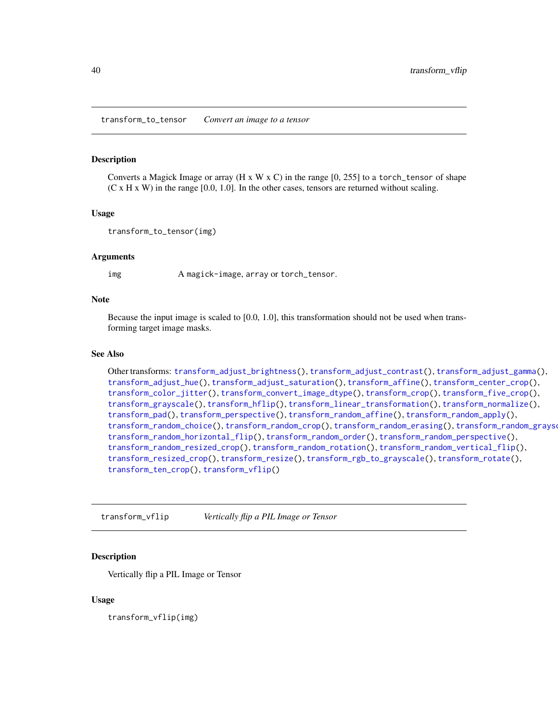<span id="page-39-1"></span><span id="page-39-0"></span>transform\_to\_tensor *Convert an image to a tensor*

#### Description

Converts a Magick Image or array (H x W x C) in the range  $[0, 255]$  to a torch\_tensor of shape  $(C \times H \times W)$  in the range [0.0, 1.0]. In the other cases, tensors are returned without scaling.

#### Usage

transform\_to\_tensor(img)

#### **Arguments**

img A magick-image, array or torch\_tensor.

#### Note

Because the input image is scaled to [0.0, 1.0], this transformation should not be used when transforming target image masks.

#### See Also

Other transforms: [transform\\_adjust\\_brightness\(](#page-9-1)), [transform\\_adjust\\_contrast\(](#page-10-1)), [transform\\_adjust\\_gamma\(](#page-11-1)), [transform\\_adjust\\_hue\(](#page-12-1)), [transform\\_adjust\\_saturation\(](#page-13-1)), [transform\\_affine\(](#page-13-2)), [transform\\_center\\_crop\(](#page-15-1)), [transform\\_color\\_jitter\(](#page-15-2)), [transform\\_convert\\_image\\_dtype\(](#page-16-1)), [transform\\_crop\(](#page-17-1)), [transform\\_five\\_crop\(](#page-18-1)), [transform\\_grayscale\(](#page-19-1)), [transform\\_hflip\(](#page-19-2)), [transform\\_linear\\_transformation\(](#page-20-1)), [transform\\_normalize\(](#page-21-1)), [transform\\_pad\(](#page-22-1)), [transform\\_perspective\(](#page-23-1)), [transform\\_random\\_affine\(](#page-24-1)), [transform\\_random\\_apply\(](#page-25-1)), [transform\\_random\\_choice\(](#page-26-2)), [transform\\_random\\_crop\(](#page-26-1)), [transform\\_random\\_erasing\(](#page-28-1)), [transform\\_random\\_grayscale\(](#page-29-1)), [transform\\_random\\_horizontal\\_flip\(](#page-29-2)), [transform\\_random\\_order\(](#page-30-1)), [transform\\_random\\_perspective\(](#page-31-1)), [transform\\_random\\_resized\\_crop\(](#page-32-1)), [transform\\_random\\_rotation\(](#page-33-1)), [transform\\_random\\_vertical\\_flip\(](#page-34-1)), [transform\\_resized\\_crop\(](#page-35-1)), [transform\\_resize\(](#page-35-2)), [transform\\_rgb\\_to\\_grayscale\(](#page-36-1)), [transform\\_rotate\(](#page-37-1)), [transform\\_ten\\_crop\(](#page-38-1)), [transform\\_vflip\(](#page-39-2))

<span id="page-39-2"></span>transform\_vflip *Vertically flip a PIL Image or Tensor*

### Description

Vertically flip a PIL Image or Tensor

#### Usage

transform\_vflip(img)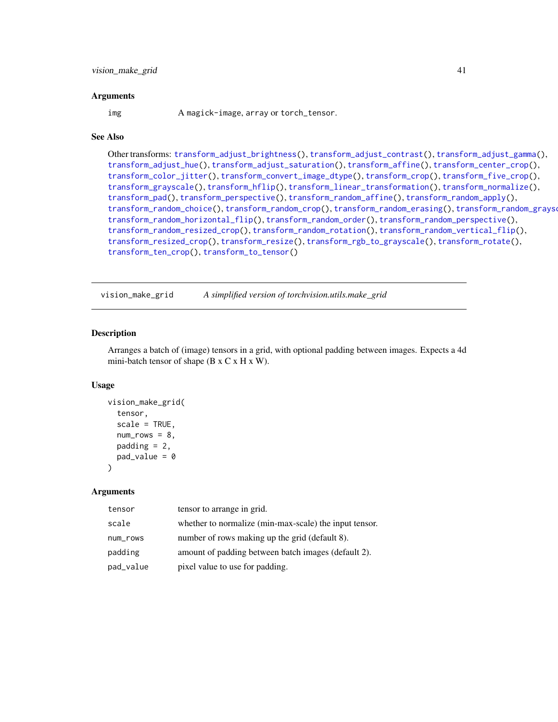#### <span id="page-40-0"></span>Arguments

img A magick-image, array or torch\_tensor.

#### See Also

```
Other transforms: transform_adjust_brightness(), transform_adjust_contrast(), transform_adjust_gamma(),
transform_adjust_hue(), transform_adjust_saturation(), transform_affine(), transform_center_crop(),
transform_color_jitter(), transform_convert_image_dtype(), transform_crop(), transform_five_crop(),
transform_grayscale(), transform_hflip(), transform_linear_transformation(), transform_normalize(),
transform_pad(), transform_perspective(), transform_random_affine(), transform_random_apply(),
transform_random_choice(), transform_random_crop(), transform_random_erasing(), transform_random_grayscale(),
transform_random_horizontal_flip(), transform_random_order(), transform_random_perspective(),
transform_random_resized_crop(), transform_random_rotation(), transform_random_vertical_flip(),
transform_resized_crop(), transform_resize(), transform_rgb_to_grayscale(), transform_rotate(),
transform_ten_crop(), transform_to_tensor()
```
vision\_make\_grid *A simplified version of torchvision.utils.make\_grid*

#### **Description**

Arranges a batch of (image) tensors in a grid, with optional padding between images. Expects a 4d mini-batch tensor of shape (B x C x H x W).

#### Usage

```
vision_make_grid(
  tensor,
  scale = TRUE,
  num\_rows = 8,
  padding = 2,
  pad_value = 0)
```

| tensor    | tensor to arrange in grid.                             |
|-----------|--------------------------------------------------------|
| scale     | whether to normalize (min-max-scale) the input tensor. |
| num_rows  | number of rows making up the grid (default 8).         |
| padding   | amount of padding between batch images (default 2).    |
| pad_value | pixel value to use for padding.                        |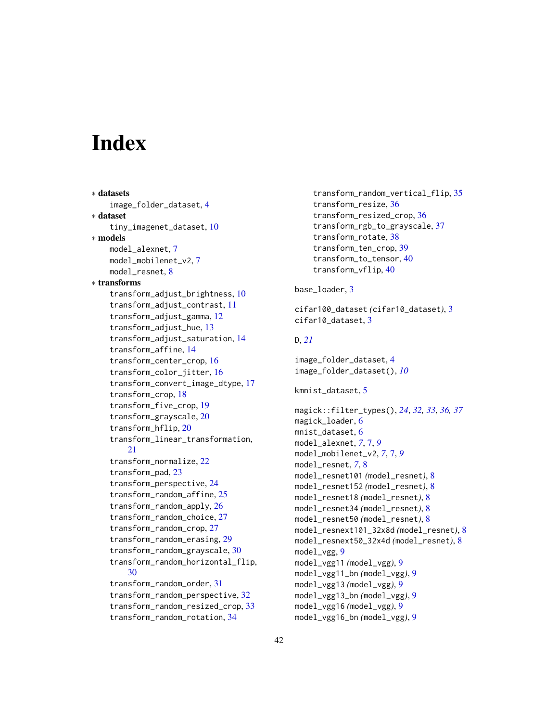# <span id="page-41-0"></span>**Index**

∗ datasets

```
image_folder_dataset, 4
∗ dataset
    tiny_imagenet_dataset, 10
∗ models
    model_alexnet, 7
    model_mobilenet_v2, 7
    model_resnet, 8
∗ transforms
    transform_adjust_brightness, 10
    transform_adjust_contrast, 11
    transform_adjust_gamma, 12
    transform_adjust_hue, 13
    transform_adjust_saturation, 14
    transform_affine, 14
    transform_center_crop, 16
    transform_color_jitter, 16
    transform_convert_image_dtype, 17
    transform_crop, 18
    transform_five_crop, 19
    transform_grayscale, 20
    transform_hflip, 20
    transform_linear_transformation,
        21
    transform_normalize, 22
    transform_pad, 23
    transform_perspective, 24
    transform_random_affine, 25
    transform_random_apply, 26
    transform_random_choice, 27
    transform_random_crop, 27
    transform_random_erasing, 29
    transform_random_grayscale, 30
    transform_random_horizontal_flip,
        30
    transform_random_order, 31
    transform_random_perspective, 32
    transform_random_resized_crop, 33
    transform_random_rotation, 34
```

```
transform_random_vertical_flip, 35
transform_resize, 36
transform_resized_crop, 36
transform_rgb_to_grayscale, 37
transform_rotate, 38
transform_ten_crop, 39
transform_to_tensor, 40
transform_vflip, 40
```
#### base\_loader, [3](#page-2-0)

```
cifar100_dataset (cifar10_dataset), 3
cifar10_dataset, 3
```
# D, *[21](#page-20-0)*

image\_folder\_dataset, [4](#page-3-0) image\_folder\_dataset(), *[10](#page-9-0)*

```
kmnist_dataset, 5
```
magick::filter\_types(), *[24](#page-23-0)*, *[32,](#page-31-0) [33](#page-32-0)*, *[36,](#page-35-0) [37](#page-36-0)* magick\_loader, [6](#page-5-0) mnist\_dataset, [6](#page-5-0) model\_alexnet, *[7](#page-6-0)*, [7,](#page-6-0) *[9](#page-8-0)* model\_mobilenet\_v2, *[7](#page-6-0)*, [7,](#page-6-0) *[9](#page-8-0)* model\_resnet, *[7](#page-6-0)*, [8](#page-7-0) model\_resnet101 *(*model\_resnet*)*, [8](#page-7-0) model\_resnet152 *(*model\_resnet*)*, [8](#page-7-0) model\_resnet18 *(*model\_resnet*)*, [8](#page-7-0) model\_resnet34 *(*model\_resnet*)*, [8](#page-7-0) model\_resnet50 *(*model\_resnet*)*, [8](#page-7-0) model\_resnext101\_32x8d *(*model\_resnet*)*, [8](#page-7-0) model\_resnext50\_32x4d *(*model\_resnet*)*, [8](#page-7-0) model\_vgg, [9](#page-8-0) model\_vgg11 *(*model\_vgg*)*, [9](#page-8-0) model\_vgg11\_bn *(*model\_vgg*)*, [9](#page-8-0) model\_vgg13 *(*model\_vgg*)*, [9](#page-8-0) model\_vgg13\_bn *(*model\_vgg*)*, [9](#page-8-0) model\_vgg16 *(*model\_vgg*)*, [9](#page-8-0) model\_vgg16\_bn *(*model\_vgg*)*, [9](#page-8-0)